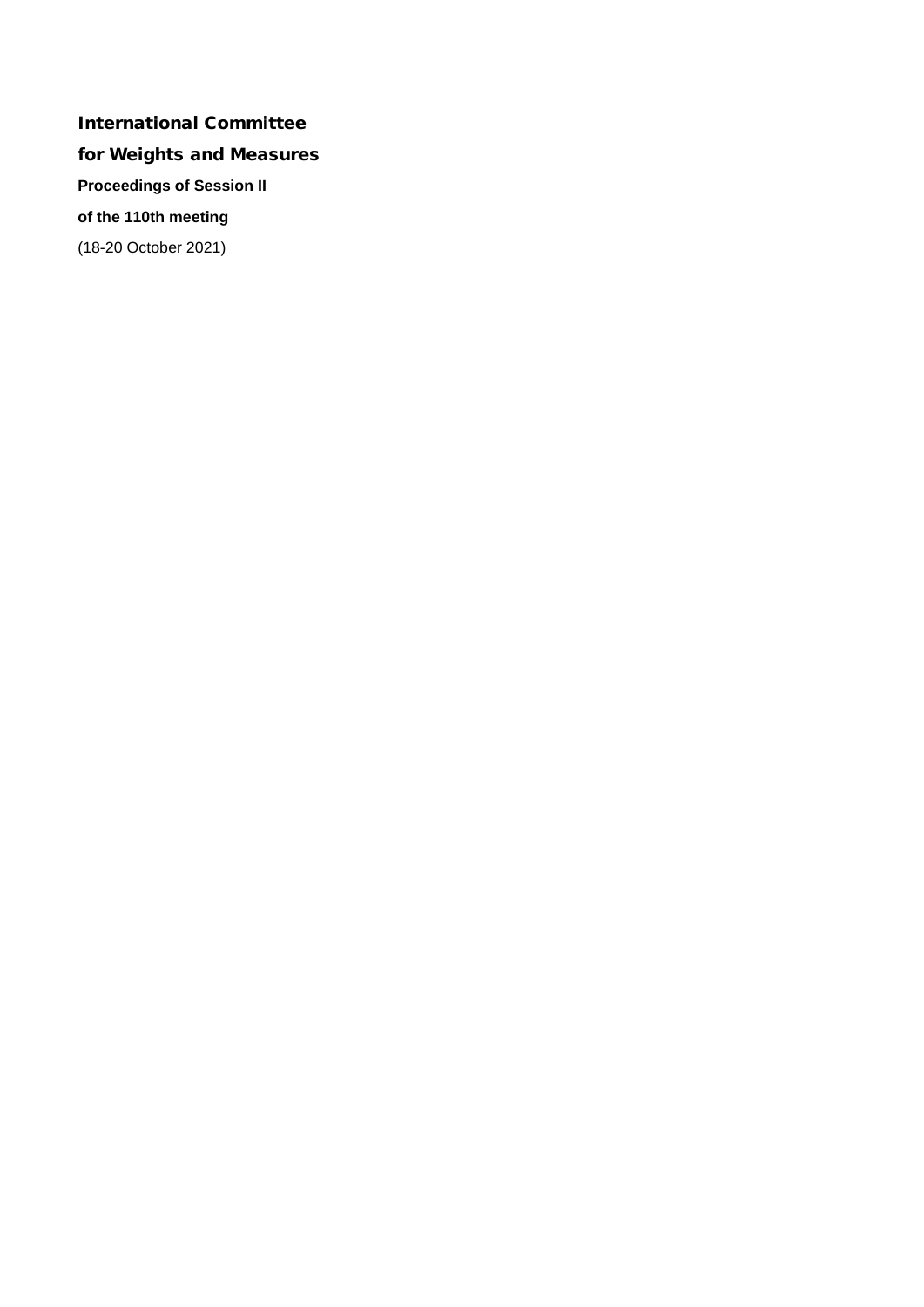# International Committee for Weights and Measures **Proceedings of Session II of the 110th meeting** (18-20 October 2021)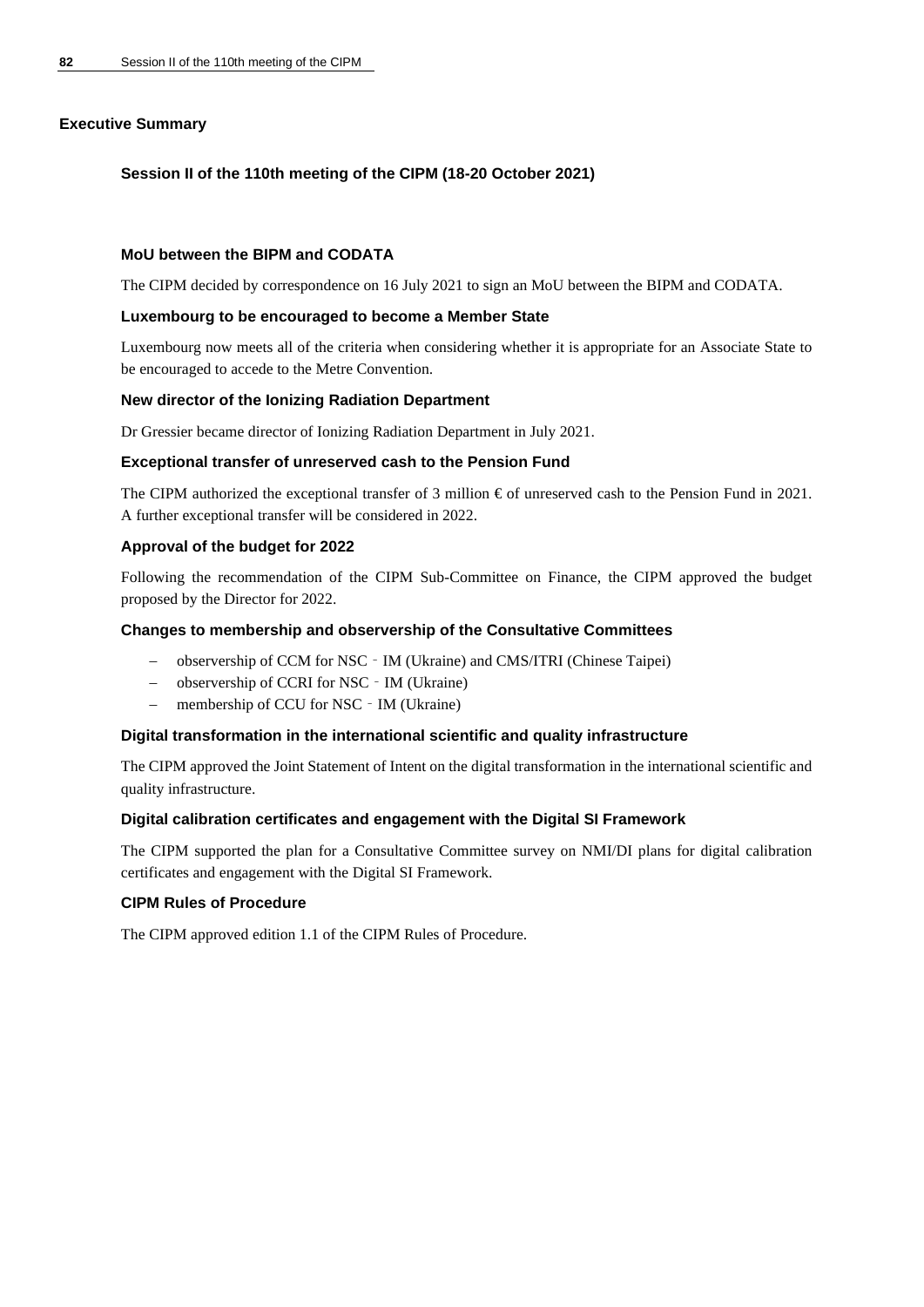# **Executive Summary**

# **Session II of the 110th meeting of the CIPM (18-20 October 2021)**

## **MoU between the BIPM and CODATA**

The CIPM decided by correspondence on 16 July 2021 to sign an MoU between the BIPM and CODATA.

## **Luxembourg to be encouraged to become a Member State**

Luxembourg now meets all of the criteria when considering whether it is appropriate for an Associate State to be encouraged to accede to the Metre Convention.

## **New director of the Ionizing Radiation Department**

Dr Gressier became director of Ionizing Radiation Department in July 2021.

## **Exceptional transfer of unreserved cash to the Pension Fund**

The CIPM authorized the exceptional transfer of 3 million  $\epsilon$  of unreserved cash to the Pension Fund in 2021. A further exceptional transfer will be considered in 2022.

## **Approval of the budget for 2022**

Following the recommendation of the CIPM Sub-Committee on Finance, the CIPM approved the budget proposed by the Director for 2022.

## **Changes to membership and observership of the Consultative Committees**

- − observership of CCM for NSC‐IM (Ukraine) and CMS/ITRI (Chinese Taipei)
- − observership of CCRI for NSC‐IM (Ukraine)
- − membership of CCU for NSC‐IM (Ukraine)

# **Digital transformation in the international scientific and quality infrastructure**

The CIPM approved the Joint Statement of Intent on the digital transformation in the international scientific and quality infrastructure.

# **Digital calibration certificates and engagement with the Digital SI Framework**

The CIPM supported the plan for a Consultative Committee survey on NMI/DI plans for digital calibration certificates and engagement with the Digital SI Framework.

# **CIPM Rules of Procedure**

The CIPM approved edition 1.1 of the CIPM Rules of Procedure.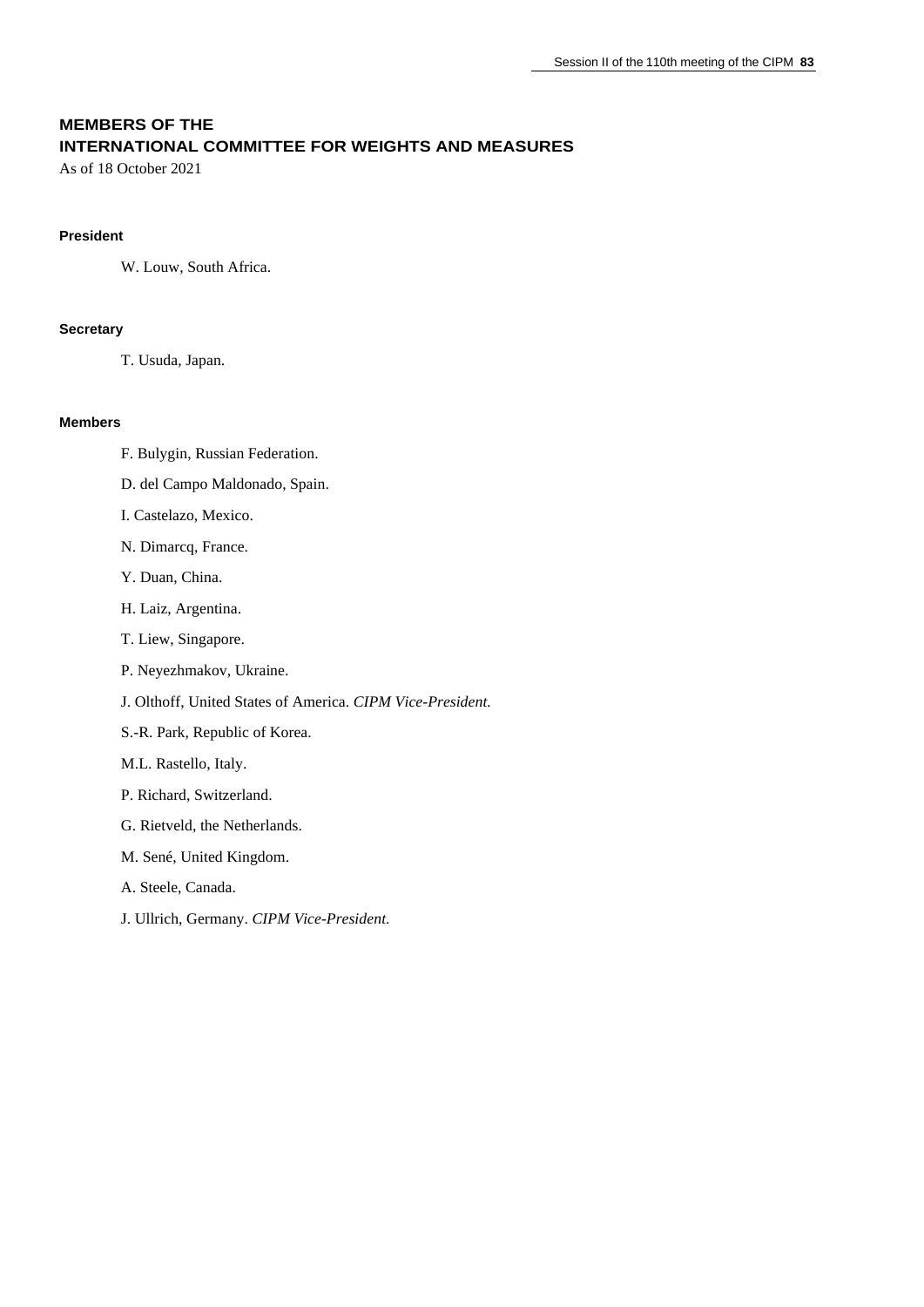# **MEMBERS OF THE INTERNATIONAL COMMITTEE FOR WEIGHTS AND MEASURES**

As of 18 October 2021

### **President**

W. Louw, South Africa.

### **Secretary**

T. Usuda, Japan.

### **Members**

- F. Bulygin, Russian Federation.
- D. del Campo Maldonado, Spain.
- I. Castelazo, Mexico.
- N. Dimarcq, France.
- Y. Duan, China.
- H. Laiz, Argentina.
- T. Liew, Singapore.
- P. Neyezhmakov, Ukraine.
- J. Olthoff, United States of America. *CIPM Vice-President.*
- S.-R. Park, Republic of Korea.
- M.L. Rastello, Italy.
- P. Richard, Switzerland.
- G. Rietveld, the Netherlands.
- M. Sené, United Kingdom.
- A. Steele, Canada.
- J. Ullrich, Germany. *CIPM Vice-President*.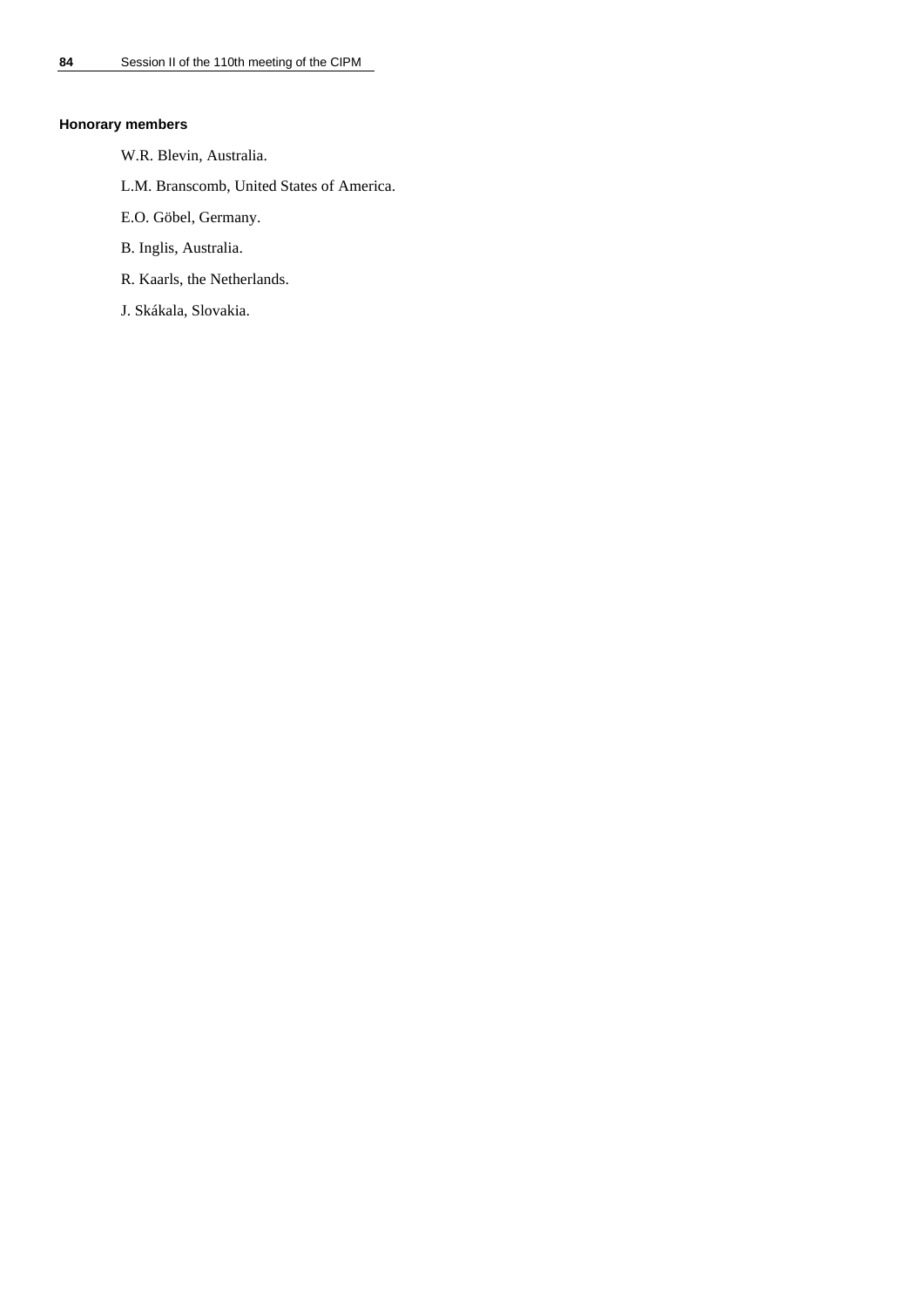## **Honorary members**

- W.R. Blevin, Australia.
- L.M. Branscomb, United States of America.
- E.O. Göbel, Germany.
- B. Inglis, Australia.
- R. Kaarls, the Netherlands.
- J. Skákala, Slovakia.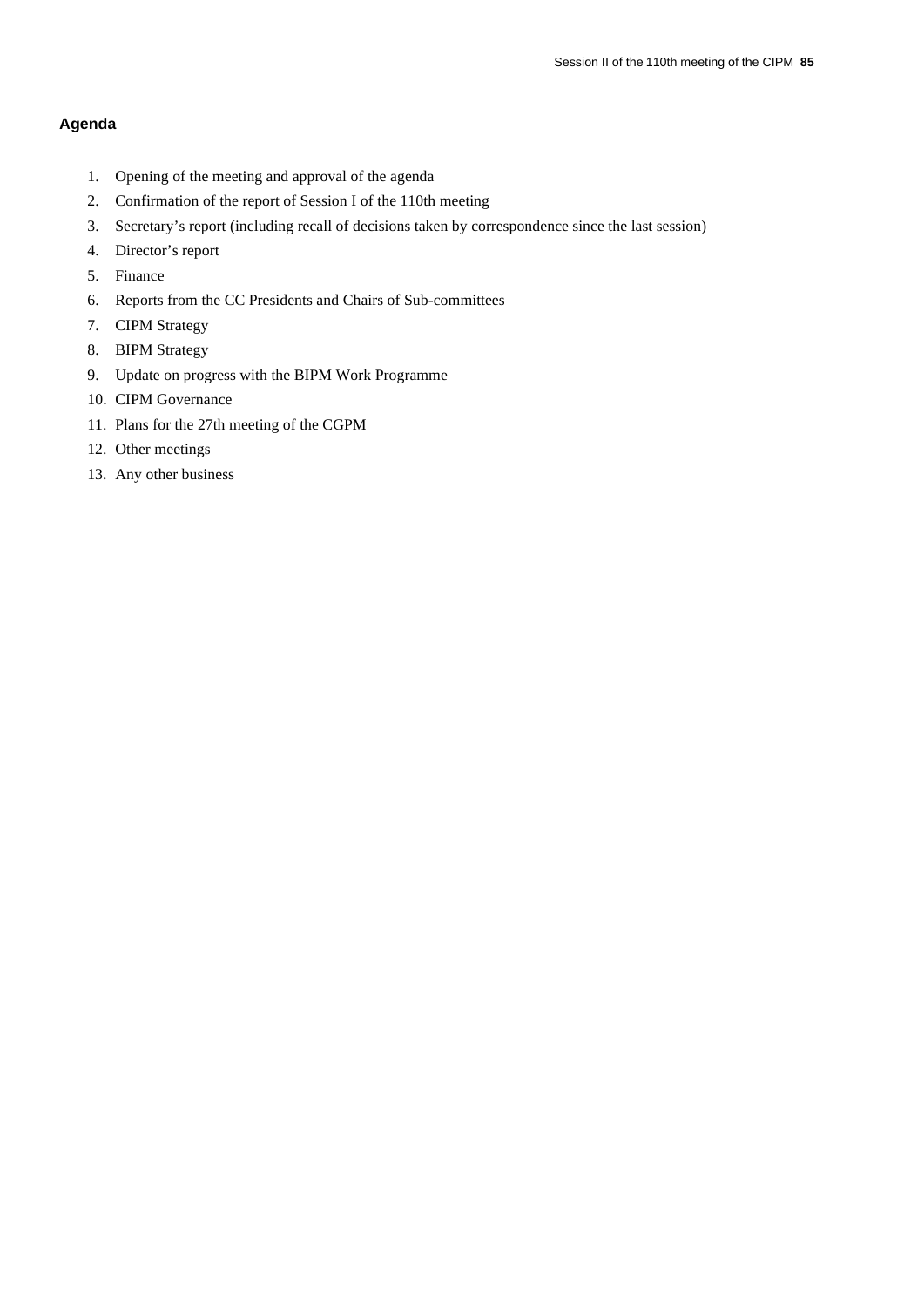# **Agenda**

- 1. Opening of the meeting and approval of the agenda
- 2. Confirmation of the report of Session I of the 110th meeting
- 3. Secretary's report (including recall of decisions taken by correspondence since the last session)
- 4. Director's report
- 5. Finance
- 6. Reports from the CC Presidents and Chairs of Sub-committees
- 7. CIPM Strategy
- 8. BIPM Strategy
- 9. Update on progress with the BIPM Work Programme
- 10. CIPM Governance
- 11. Plans for the 27th meeting of the CGPM
- 12. Other meetings
- 13. Any other business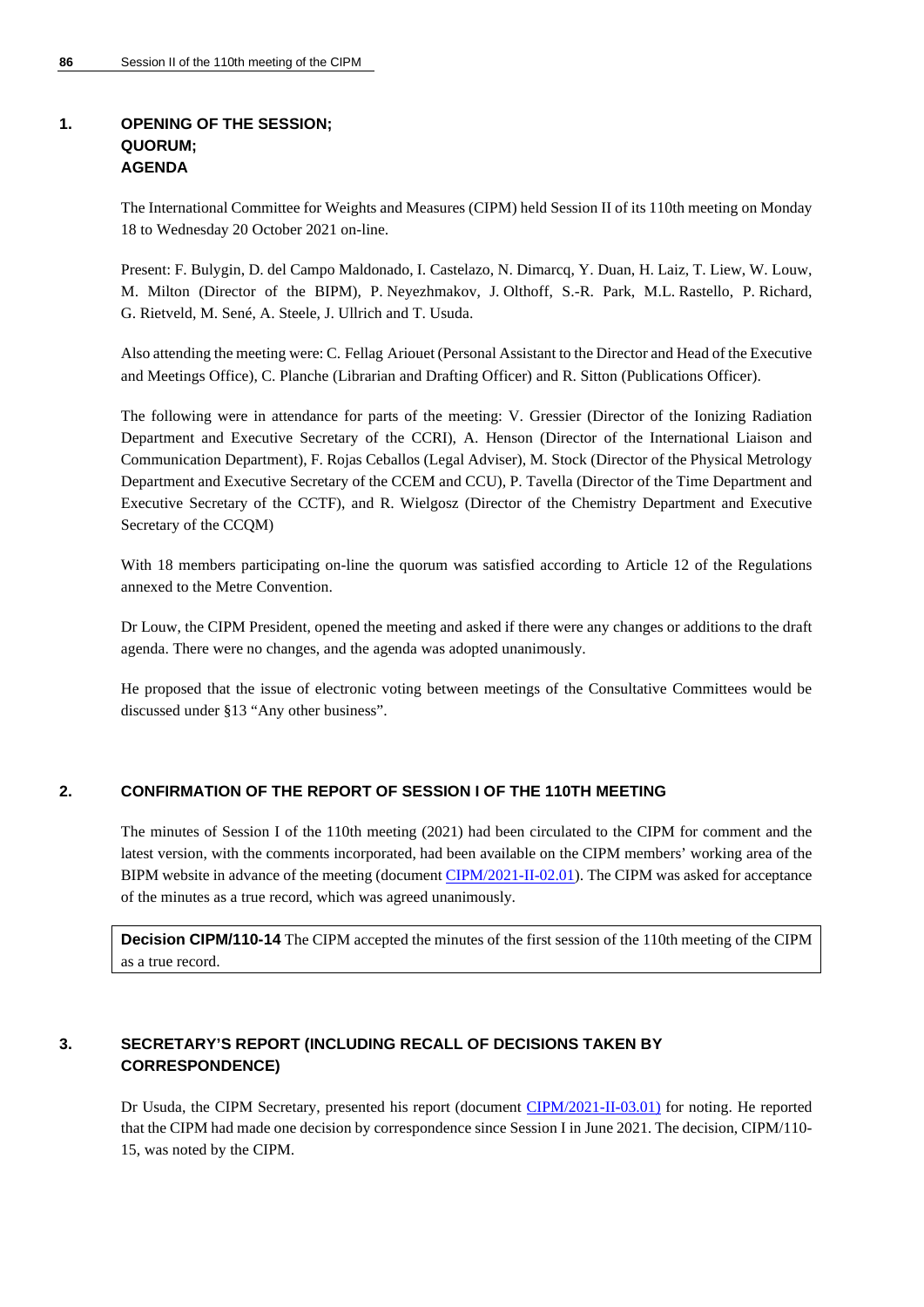# **1. OPENING OF THE SESSION; QUORUM; AGENDA**

The International Committee for Weights and Measures (CIPM) held Session II of its 110th meeting on Monday 18 to Wednesday 20 October 2021 on-line.

Present: F. Bulygin, D. del Campo Maldonado, I. Castelazo, N. Dimarcq, Y. Duan, H. Laiz, T. Liew, W. Louw, M. Milton (Director of the BIPM), P. Neyezhmakov, J. Olthoff, S.-R. Park, M.L. Rastello, P. Richard, G. Rietveld, M. Sené, A. Steele, J. Ullrich and T. Usuda.

Also attending the meeting were: C. Fellag Ariouet (Personal Assistant to the Director and Head of the Executive and Meetings Office), C. Planche (Librarian and Drafting Officer) and R. Sitton (Publications Officer).

The following were in attendance for parts of the meeting: V. Gressier (Director of the Ionizing Radiation Department and Executive Secretary of the CCRI), A. Henson (Director of the International Liaison and Communication Department), F. Rojas Ceballos (Legal Adviser), M. Stock (Director of the Physical Metrology Department and Executive Secretary of the CCEM and CCU), P. Tavella (Director of the Time Department and Executive Secretary of the CCTF), and R. Wielgosz (Director of the Chemistry Department and Executive Secretary of the CCQM)

With 18 members participating on-line the quorum was satisfied according to Article 12 of the Regulations annexed to the Metre Convention.

Dr Louw, the CIPM President, opened the meeting and asked if there were any changes or additions to the draft agenda. There were no changes, and the agenda was adopted unanimously.

He proposed that the issue of electronic voting between meetings of the Consultative Committees would be discussed under §13 "Any other business".

# **2. CONFIRMATION OF THE REPORT OF SESSION I OF THE 110TH MEETING**

The minutes of Session I of the 110th meeting (2021) had been circulated to the CIPM for comment and the latest version, with the comments incorporated, had been available on the CIPM members' working area of the BIPM website in advance of the meeting (document [CIPM/2021-II-02.01\)](https://www.bipm.org/documents/20126/61959153/CIPM21-II-02.01-CIPM110-Session-I.pdf/665dbb10-2da8-6474-c449-d65214dbda64). The CIPM was asked for acceptance of the minutes as a true record, which was agreed unanimously.

**Decision CIPM/110-14** The CIPM accepted the minutes of the first session of the 110th meeting of the CIPM as a true record.

# **3. SECRETARY'S REPORT (INCLUDING RECALL OF DECISIONS TAKEN BY CORRESPONDENCE)**

Dr Usuda, the CIPM Secretary, presented his report (document [CIPM/2021-II-03.01\)](https://www.bipm.org/documents/20126/61959619/CIPM21-II-03.01-CIPM+Secretary+report+20211018-.pdf/09240391-37e6-3031-b7e1-47bbdef52625) for noting. He reported that the CIPM had made one decision by correspondence since Session I in June 2021. The decision, CIPM/110- 15, was noted by the CIPM.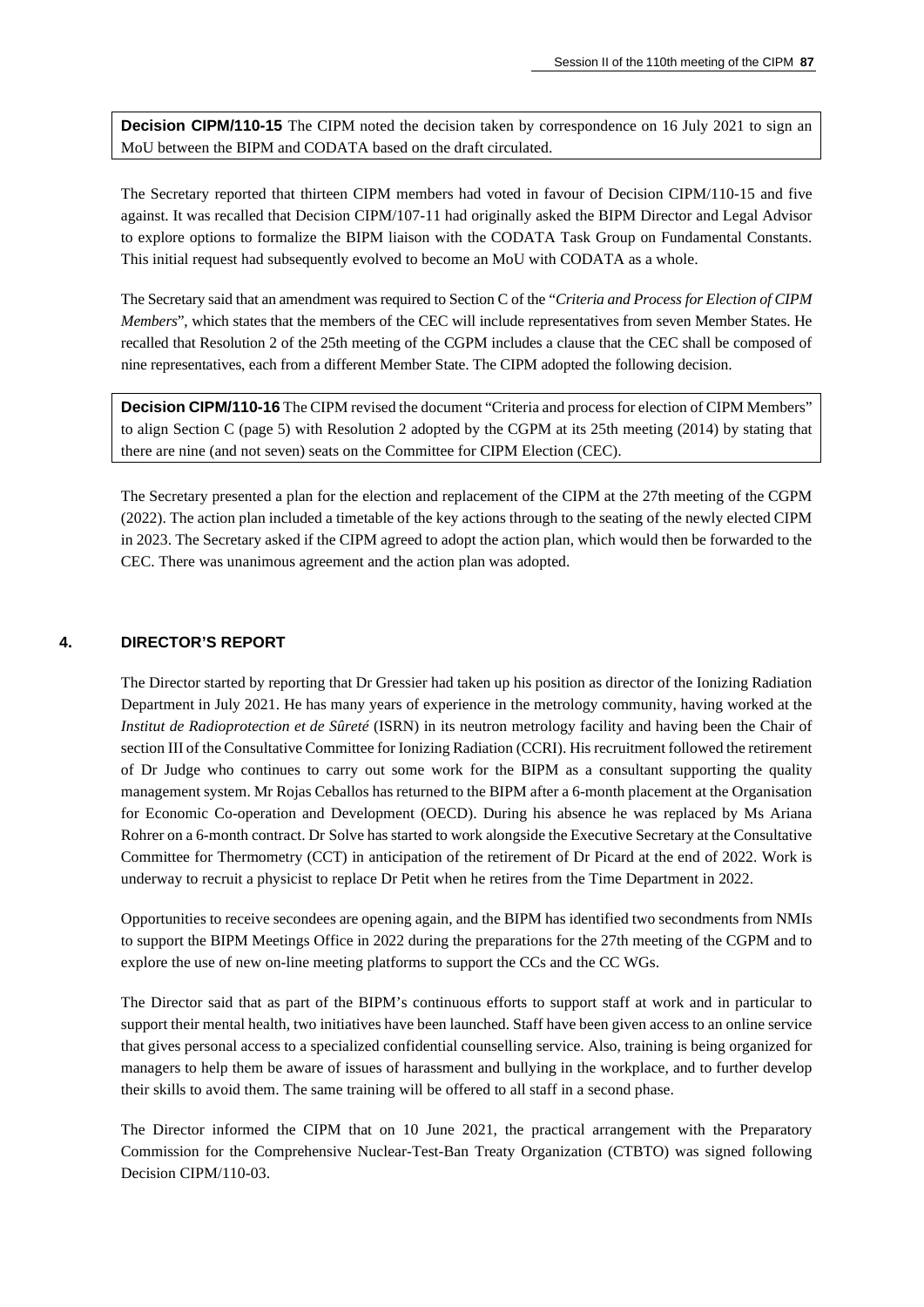**Decision CIPM/110-15** The CIPM noted the decision taken by correspondence on 16 July 2021 to sign an MoU between the BIPM and CODATA based on the draft circulated.

The Secretary reported that thirteen CIPM members had voted in favour of Decision CIPM/110-15 and five against. It was recalled that Decision CIPM/107-11 had originally asked the BIPM Director and Legal Advisor to explore options to formalize the BIPM liaison with the CODATA Task Group on Fundamental Constants. This initial request had subsequently evolved to become an MoU with CODATA as a whole.

The Secretary said that an amendment was required to Section C of the "*Criteria and Process for Election of CIPM Members*", which states that the members of the CEC will include representatives from seven Member States. He recalled that Resolution 2 of the 25th meeting of the CGPM includes a clause that the CEC shall be composed of nine representatives, each from a different Member State. The CIPM adopted the following decision.

**Decision CIPM/110-16** The CIPM revised the document "Criteria and process for election of CIPM Members" to align Section C (page 5) with Resolution 2 adopted by the CGPM at its 25th meeting (2014) by stating that there are nine (and not seven) seats on the Committee for CIPM Election (CEC).

The Secretary presented a plan for the election and replacement of the CIPM at the 27th meeting of the CGPM (2022). The action plan included a timetable of the key actions through to the seating of the newly elected CIPM in 2023. The Secretary asked if the CIPM agreed to adopt the action plan, which would then be forwarded to the CEC. There was unanimous agreement and the action plan was adopted.

### **4. DIRECTOR'S REPORT**

The Director started by reporting that Dr Gressier had taken up his position as director of the Ionizing Radiation Department in July 2021. He has many years of experience in the metrology community, having worked at the *Institut de Radioprotection et de Sûreté* (ISRN) in its neutron metrology facility and having been the Chair of section III of the Consultative Committee for Ionizing Radiation (CCRI). His recruitment followed the retirement of Dr Judge who continues to carry out some work for the BIPM as a consultant supporting the quality management system. Mr Rojas Ceballos has returned to the BIPM after a 6-month placement at the Organisation for Economic Co-operation and Development (OECD). During his absence he was replaced by Ms Ariana Rohrer on a 6-month contract. Dr Solve has started to work alongside the Executive Secretary at the Consultative Committee for Thermometry (CCT) in anticipation of the retirement of Dr Picard at the end of 2022. Work is underway to recruit a physicist to replace Dr Petit when he retires from the Time Department in 2022.

Opportunities to receive secondees are opening again, and the BIPM has identified two secondments from NMIs to support the BIPM Meetings Office in 2022 during the preparations for the 27th meeting of the CGPM and to explore the use of new on-line meeting platforms to support the CCs and the CC WGs.

The Director said that as part of the BIPM's continuous efforts to support staff at work and in particular to support their mental health, two initiatives have been launched. Staff have been given access to an online service that gives personal access to a specialized confidential counselling service. Also, training is being organized for managers to help them be aware of issues of harassment and bullying in the workplace, and to further develop their skills to avoid them. The same training will be offered to all staff in a second phase.

The Director informed the CIPM that on 10 June 2021, the practical arrangement with the Preparatory Commission for the Comprehensive Nuclear-Test-Ban Treaty Organization (CTBTO) was signed following Decision CIPM/110-03.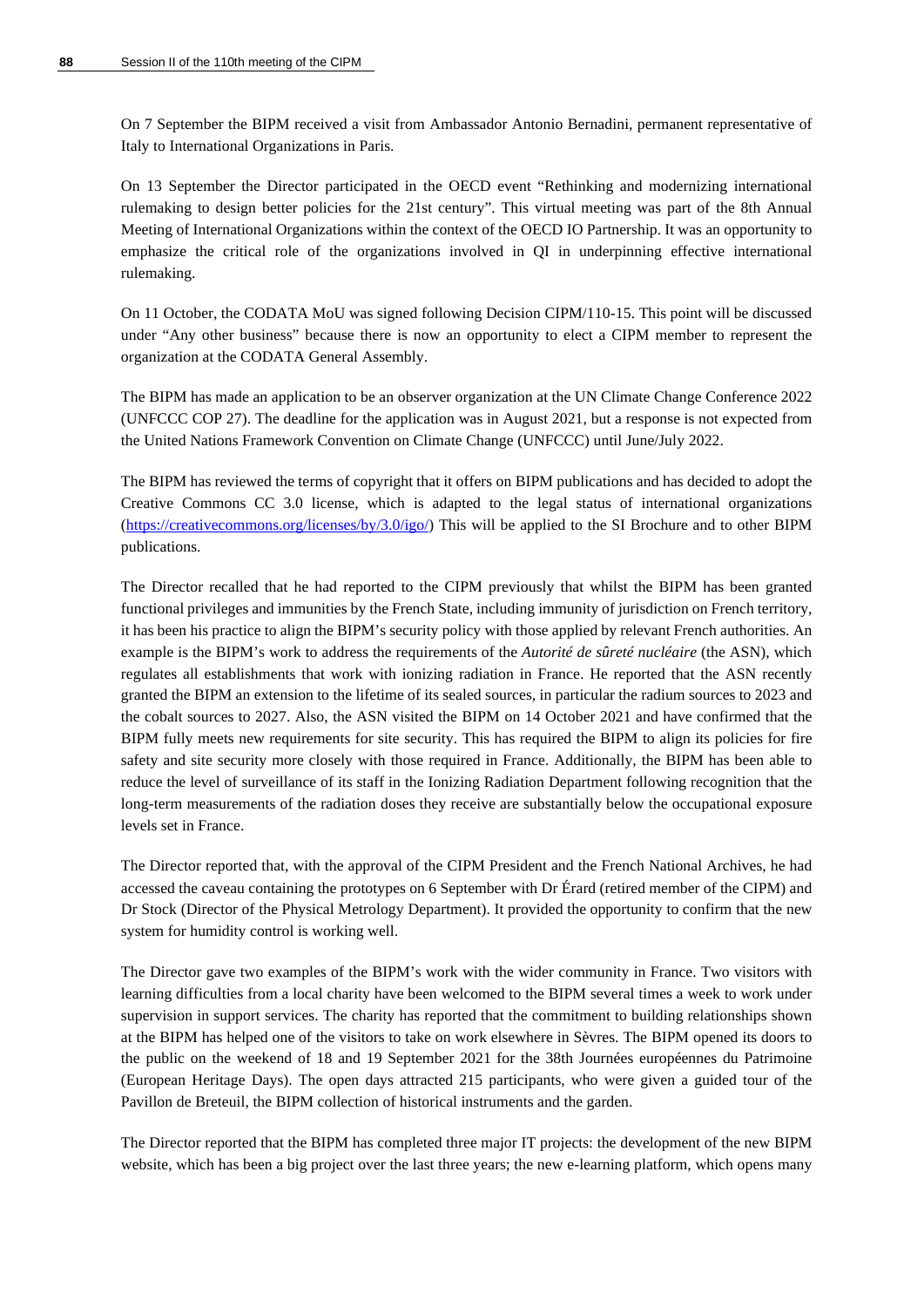On 7 September the BIPM received a visit from Ambassador Antonio Bernadini, permanent representative of Italy to International Organizations in Paris.

On 13 September the Director participated in the OECD event "Rethinking and modernizing international rulemaking to design better policies for the 21st century". This virtual meeting was part of the 8th Annual Meeting of International Organizations within the context of the OECD IO Partnership. It was an opportunity to emphasize the critical role of the organizations involved in QI in underpinning effective international rulemaking.

On 11 October, the CODATA MoU was signed following Decision CIPM/110-15. This point will be discussed under "Any other business" because there is now an opportunity to elect a CIPM member to represent the organization at the CODATA General Assembly.

The BIPM has made an application to be an observer organization at the UN Climate Change Conference 2022 (UNFCCC COP 27). The deadline for the application was in August 2021, but a response is not expected from the United Nations Framework Convention on Climate Change (UNFCCC) until June/July 2022.

The BIPM has reviewed the terms of copyright that it offers on BIPM publications and has decided to adopt the Creative Commons CC 3.0 license, which is adapted to the legal status of international organizations [\(https://creativecommons.org/licenses/by/3.0/igo/\)](https://creativecommons.org/licenses/by/3.0/igo/) This will be applied to the SI Brochure and to other BIPM publications.

The Director recalled that he had reported to the CIPM previously that whilst the BIPM has been granted functional privileges and immunities by the French State, including immunity of jurisdiction on French territory, it has been his practice to align the BIPM's security policy with those applied by relevant French authorities. An example is the BIPM's work to address the requirements of the *Autorité de sûreté nucléaire* (the ASN), which regulates all establishments that work with ionizing radiation in France. He reported that the ASN recently granted the BIPM an extension to the lifetime of its sealed sources, in particular the radium sources to 2023 and the cobalt sources to 2027. Also, the ASN visited the BIPM on 14 October 2021 and have confirmed that the BIPM fully meets new requirements for site security. This has required the BIPM to align its policies for fire safety and site security more closely with those required in France. Additionally, the BIPM has been able to reduce the level of surveillance of its staff in the Ionizing Radiation Department following recognition that the long-term measurements of the radiation doses they receive are substantially below the occupational exposure levels set in France.

The Director reported that, with the approval of the CIPM President and the French National Archives, he had accessed the caveau containing the prototypes on 6 September with Dr Érard (retired member of the CIPM) and Dr Stock (Director of the Physical Metrology Department). It provided the opportunity to confirm that the new system for humidity control is working well.

The Director gave two examples of the BIPM's work with the wider community in France. Two visitors with learning difficulties from a local charity have been welcomed to the BIPM several times a week to work under supervision in support services. The charity has reported that the commitment to building relationships shown at the BIPM has helped one of the visitors to take on work elsewhere in Sèvres. The BIPM opened its doors to the public on the weekend of 18 and 19 September 2021 for the 38th Journées européennes du Patrimoine (European Heritage Days). The open days attracted 215 participants, who were given a guided tour of the Pavillon de Breteuil, the BIPM collection of historical instruments and the garden.

The Director reported that the BIPM has completed three major IT projects: the development of the new BIPM website, which has been a big project over the last three years; the new e-learning platform, which opens many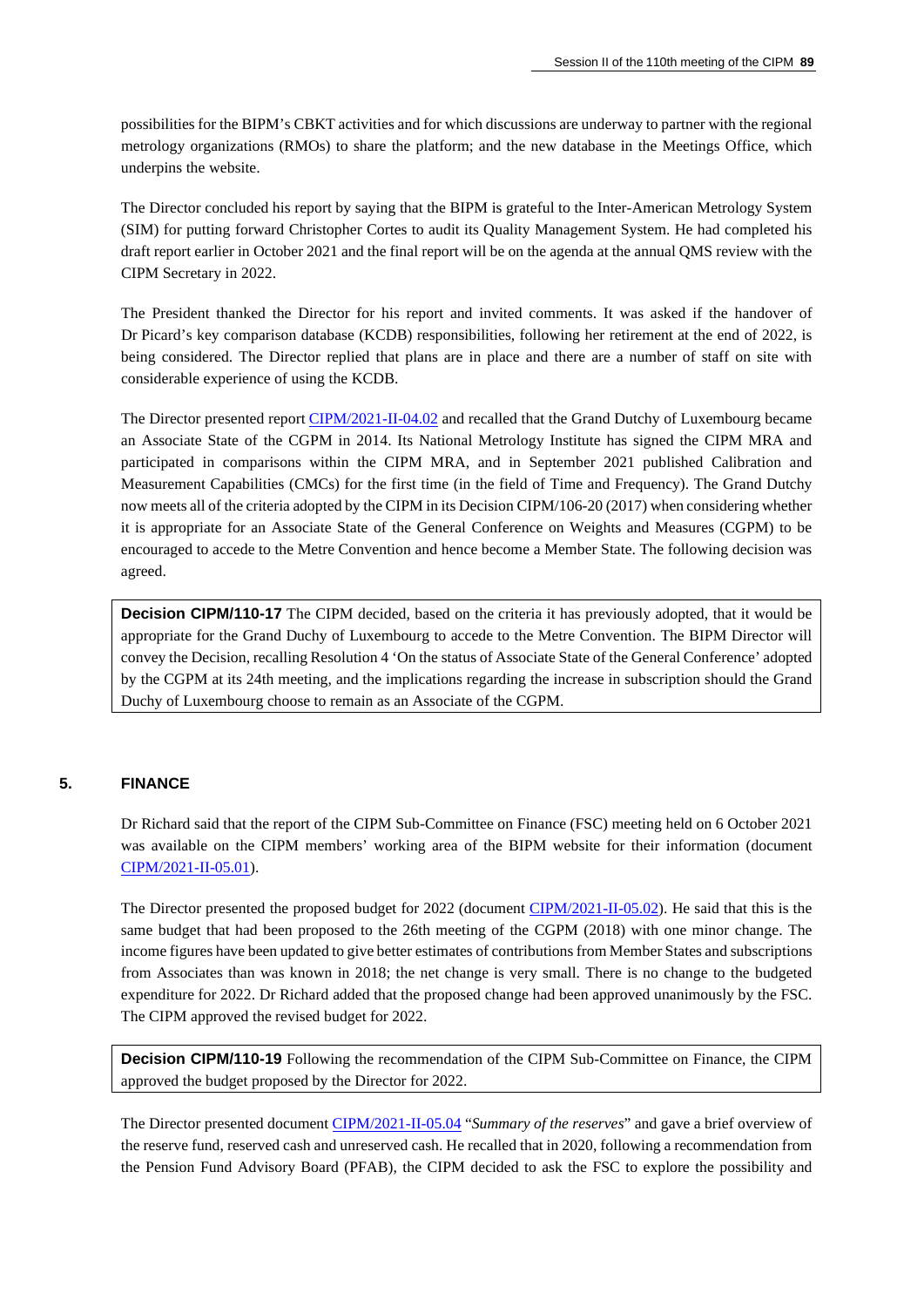possibilities for the BIPM's CBKT activities and for which discussions are underway to partner with the regional metrology organizations (RMOs) to share the platform; and the new database in the Meetings Office, which underpins the website.

The Director concluded his report by saying that the BIPM is grateful to the Inter-American Metrology System (SIM) for putting forward Christopher Cortes to audit its Quality Management System. He had completed his draft report earlier in October 2021 and the final report will be on the agenda at the annual QMS review with the CIPM Secretary in 2022.

The President thanked the Director for his report and invited comments. It was asked if the handover of Dr Picard's key comparison database (KCDB) responsibilities, following her retirement at the end of 2022, is being considered. The Director replied that plans are in place and there are a number of staff on site with considerable experience of using the KCDB.

The Director presented report [CIPM/2021-II-04.02](https://www.bipm.org/documents/20126/61869199/CIPM21-II-04.02-Encouraging+Luxembourg.docx/d0381a2d-4c42-f3d7-9b08-28a428701c55) and recalled that the Grand Dutchy of Luxembourg became an Associate State of the CGPM in 2014. Its National Metrology Institute has signed the CIPM MRA and participated in comparisons within the CIPM MRA, and in September 2021 published Calibration and Measurement Capabilities (CMCs) for the first time (in the field of Time and Frequency). The Grand Dutchy now meets all of the criteria adopted by the CIPM in its Decision CIPM/106-20 (2017) when considering whether it is appropriate for an Associate State of the General Conference on Weights and Measures (CGPM) to be encouraged to accede to the Metre Convention and hence become a Member State. The following decision was agreed.

**Decision CIPM/110-17** The CIPM decided, based on the criteria it has previously adopted, that it would be appropriate for the Grand Duchy of Luxembourg to accede to the Metre Convention. The BIPM Director will convey the Decision, recalling Resolution 4 'On the status of Associate State of the General Conference' adopted by the CGPM at its 24th meeting, and the implications regarding the increase in subscription should the Grand Duchy of Luxembourg choose to remain as an Associate of the CGPM.

### **5. FINANCE**

Dr Richard said that the report of the CIPM Sub-Committee on Finance (FSC) meeting held on 6 October 2021 was available on the CIPM members' working area of the BIPM website for their information (document [CIPM/2021-II-05.01\)](https://www.bipm.org/documents/20126/61919425/CIPM21-II-05.01-20211006_FSC_report_2021_2_EN_DEF.pdf/74e26a2b-f129-fa5a-5487-a4b544c37225).

The Director presented the proposed budget for 2022 (document [CIPM/2021-II-05.02\)](https://www.bipm.org/documents/20126/61959169/CIPM21-II-05.02-Proposed+budget+for+2022.pptx/963887f0-f3f8-a827-fbc6-14362f0ab485). He said that this is the same budget that had been proposed to the 26th meeting of the CGPM (2018) with one minor change. The income figures have been updated to give better estimates of contributions from Member States and subscriptions from Associates than was known in 2018; the net change is very small. There is no change to the budgeted expenditure for 2022. Dr Richard added that the proposed change had been approved unanimously by the FSC. The CIPM approved the revised budget for 2022.

**Decision CIPM/110-19** Following the recommendation of the CIPM Sub-Committee on Finance, the CIPM approved the budget proposed by the Director for 2022.

The Director presented document [CIPM/2021-II-05.04](https://www.bipm.org/documents/20126/62107537/CIPM21-II-05.04-Financial+Reports+Summary+2021+v3b+Tab+6.pdf/73c845fe-63d3-7569-e50e-da7584036e08) "*Summary of the reserves*" and gave a brief overview of the reserve fund, reserved cash and unreserved cash. He recalled that in 2020, following a recommendation from the Pension Fund Advisory Board (PFAB), the CIPM decided to ask the FSC to explore the possibility and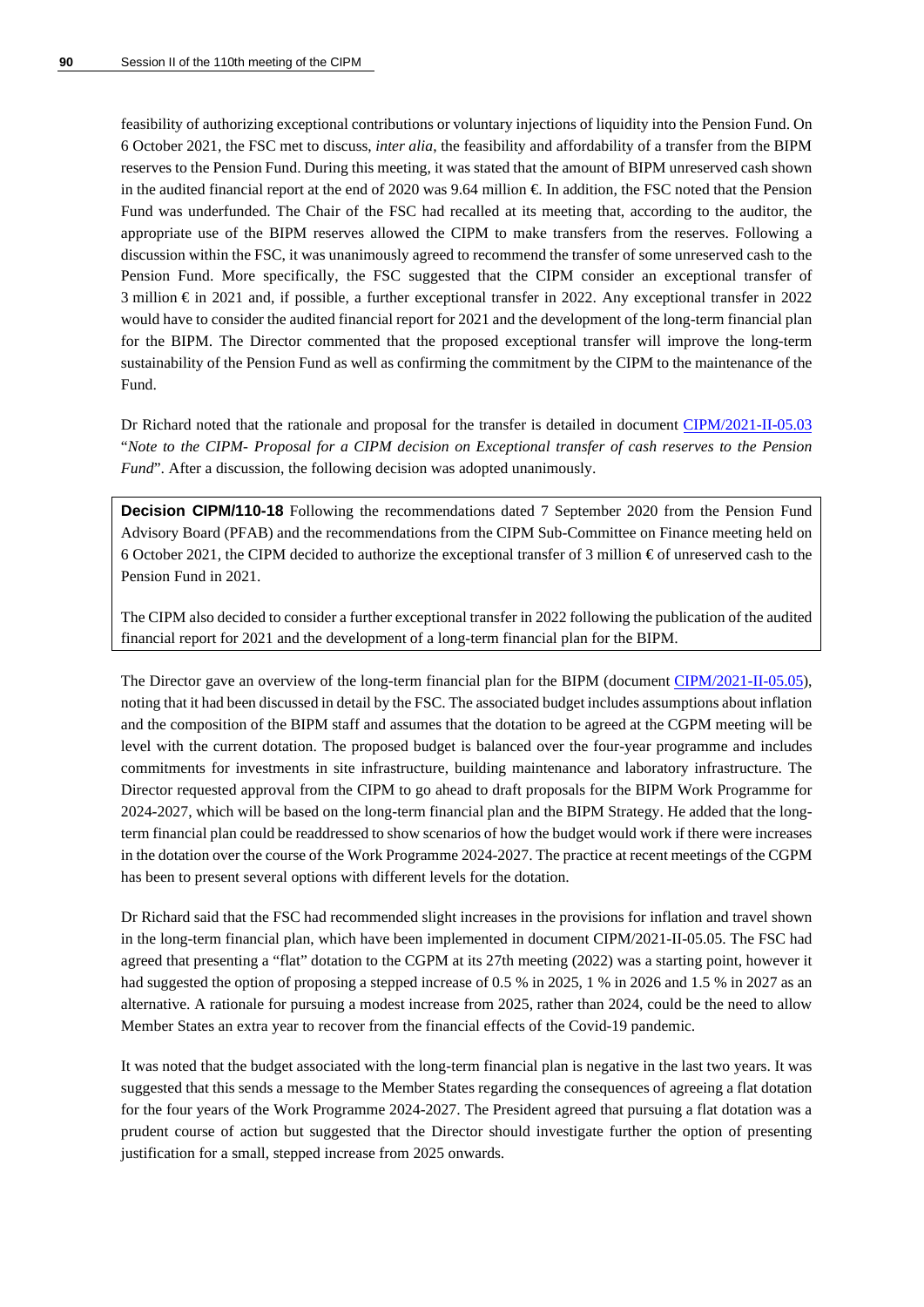feasibility of authorizing exceptional contributions or voluntary injections of liquidity into the Pension Fund. On 6 October 2021, the FSC met to discuss, *inter alia*, the feasibility and affordability of a transfer from the BIPM reserves to the Pension Fund. During this meeting, it was stated that the amount of BIPM unreserved cash shown in the audited financial report at the end of 2020 was 9.64 million  $\epsilon$ . In addition, the FSC noted that the Pension Fund was underfunded. The Chair of the FSC had recalled at its meeting that, according to the auditor, the appropriate use of the BIPM reserves allowed the CIPM to make transfers from the reserves. Following a discussion within the FSC, it was unanimously agreed to recommend the transfer of some unreserved cash to the Pension Fund. More specifically, the FSC suggested that the CIPM consider an exceptional transfer of 3 million € in 2021 and, if possible, a further exceptional transfer in 2022. Any exceptional transfer in 2022 would have to consider the audited financial report for 2021 and the development of the long-term financial plan for the BIPM. The Director commented that the proposed exceptional transfer will improve the long-term sustainability of the Pension Fund as well as confirming the commitment by the CIPM to the maintenance of the Fund.

Dr Richard noted that the rationale and proposal for the transfer is detailed in document [CIPM/2021-II-05.03](https://www.bipm.org/documents/20126/62107521/CIPM21-II-05.03-Note+to+the+CIPM-+Draft+decision+on+cash+reserves+to+the+Pension+Fund.docx/ad249103-d467-0e0b-7604-1304a83c9208) "*Note to the CIPM- Proposal for a CIPM decision on Exceptional transfer of cash reserves to the Pension Fund*". After a discussion, the following decision was adopted unanimously.

**Decision CIPM/110-18** Following the recommendations dated 7 September 2020 from the Pension Fund Advisory Board (PFAB) and the recommendations from the CIPM Sub-Committee on Finance meeting held on 6 October 2021, the CIPM decided to authorize the exceptional transfer of 3 million  $\epsilon$  of unreserved cash to the Pension Fund in 2021.

The CIPM also decided to consider a further exceptional transfer in 2022 following the publication of the audited financial report for 2021 and the development of a long-term financial plan for the BIPM.

The Director gave an overview of the long-term financial plan for the BIPM (document [CIPM/2021-II-05.05\)](https://www.bipm.org/documents/20126/62107553/CIPM21-II-05.05-LTFP_v2.pdf/a9ff0840-4ac2-e189-d50f-40b0b0dc1c2e), noting that it had been discussed in detail by the FSC. The associated budget includes assumptions about inflation and the composition of the BIPM staff and assumes that the dotation to be agreed at the CGPM meeting will be level with the current dotation. The proposed budget is balanced over the four-year programme and includes commitments for investments in site infrastructure, building maintenance and laboratory infrastructure. The Director requested approval from the CIPM to go ahead to draft proposals for the BIPM Work Programme for 2024-2027, which will be based on the long-term financial plan and the BIPM Strategy. He added that the longterm financial plan could be readdressed to show scenarios of how the budget would work if there were increases in the dotation over the course of the Work Programme 2024-2027. The practice at recent meetings of the CGPM has been to present several options with different levels for the dotation.

Dr Richard said that the FSC had recommended slight increases in the provisions for inflation and travel shown in the long-term financial plan, which have been implemented in document CIPM/2021-II-05.05. The FSC had agreed that presenting a "flat" dotation to the CGPM at its 27th meeting (2022) was a starting point, however it had suggested the option of proposing a stepped increase of 0.5 % in 2025, 1 % in 2026 and 1.5 % in 2027 as an alternative. A rationale for pursuing a modest increase from 2025, rather than 2024, could be the need to allow Member States an extra year to recover from the financial effects of the Covid-19 pandemic.

It was noted that the budget associated with the long-term financial plan is negative in the last two years. It was suggested that this sends a message to the Member States regarding the consequences of agreeing a flat dotation for the four years of the Work Programme 2024-2027. The President agreed that pursuing a flat dotation was a prudent course of action but suggested that the Director should investigate further the option of presenting justification for a small, stepped increase from 2025 onwards.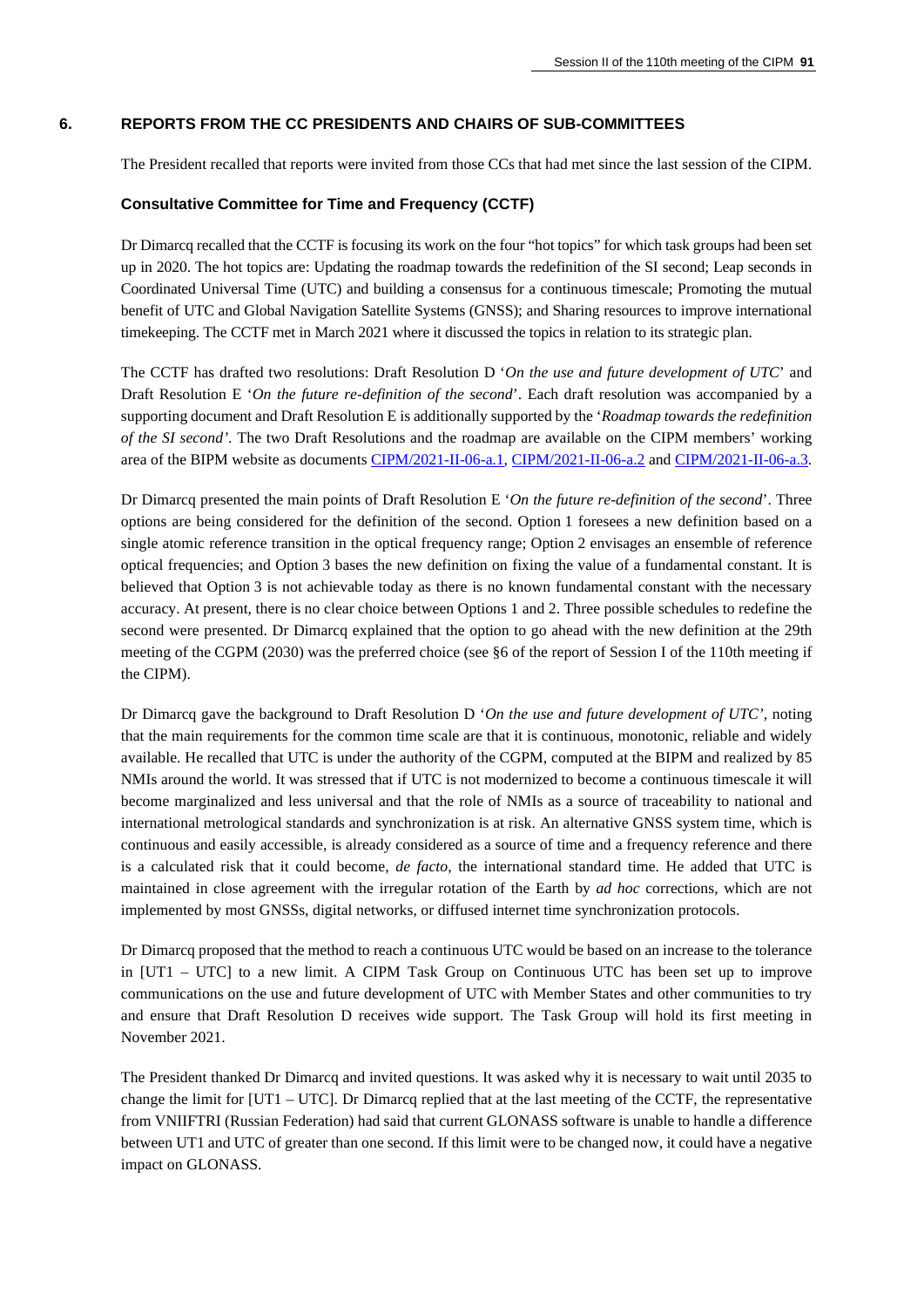### **6. REPORTS FROM THE CC PRESIDENTS AND CHAIRS OF SUB-COMMITTEES**

The President recalled that reports were invited from those CCs that had met since the last session of the CIPM.

#### **Consultative Committee for Time and Frequency (CCTF)**

Dr Dimarcq recalled that the CCTF is focusing its work on the four "hot topics" for which task groups had been set up in 2020. The hot topics are: Updating the roadmap towards the redefinition of the SI second; Leap seconds in Coordinated Universal Time (UTC) and building a consensus for a continuous timescale; Promoting the mutual benefit of UTC and Global Navigation Satellite Systems (GNSS); and Sharing resources to improve international timekeeping. The CCTF met in March 2021 where it discussed the topics in relation to its strategic plan.

The CCTF has drafted two resolutions: Draft Resolution D '*On the use and future development of UTC*' and Draft Resolution E '*On the future re-definition of the second*'. Each draft resolution was accompanied by a supporting document and Draft Resolution E is additionally supported by the '*Roadmap towards the redefinition of the SI second'*. The two Draft Resolutions and the roadmap are available on the CIPM members' working area of the BIPM website as documents [CIPM/2021-II-06-a.1,](https://www.bipm.org/documents/20126/62245092/CIPM21-II-06-a.1-CCTF+contribution+to+CGPM+Resolution+D+UTC+Oct+6+2021.pdf/d192201c-7051-85d6-44a5-2189c12d7b42) [CIPM/2021-II-06-a.2](https://www.bipm.org/documents/20126/62245108/CIPM21-II-06-a.2-CCTF+contribution+to+CGPM+Resolution+E+second+Oct+6+2021.pdf/8dbe92a6-e592-c66c-6db7-1a7ae0c75b7a) and [CIPM/2021-II-06-a.3.](https://www.bipm.org/documents/20126/62245124/CIPM21-II-06-a.3-CCTF+Roadmap+Redefinition+SI+Second-Oct+6+2021.pdf/3f4e15d8-3331-e679-f3a5-eb4d8a6f5dd8)

Dr Dimarcq presented the main points of Draft Resolution E '*On the future re-definition of the second*'. Three options are being considered for the definition of the second. Option 1 foresees a new definition based on a single atomic reference transition in the optical frequency range; Option 2 envisages an ensemble of reference optical frequencies; and Option 3 bases the new definition on fixing the value of a fundamental constant. It is believed that Option 3 is not achievable today as there is no known fundamental constant with the necessary accuracy. At present, there is no clear choice between Options 1 and 2. Three possible schedules to redefine the second were presented. Dr Dimarcq explained that the option to go ahead with the new definition at the 29th meeting of the CGPM (2030) was the preferred choice (see §6 of the report of Session I of the 110th meeting if the CIPM).

Dr Dimarcq gave the background to Draft Resolution D '*On the use and future development of UTC',* noting that the main requirements for the common time scale are that it is continuous, monotonic, reliable and widely available. He recalled that UTC is under the authority of the CGPM, computed at the BIPM and realized by 85 NMIs around the world. It was stressed that if UTC is not modernized to become a continuous timescale it will become marginalized and less universal and that the role of NMIs as a source of traceability to national and international metrological standards and synchronization is at risk. An alternative GNSS system time, which is continuous and easily accessible, is already considered as a source of time and a frequency reference and there is a calculated risk that it could become, *de facto*, the international standard time. He added that UTC is maintained in close agreement with the irregular rotation of the Earth by *ad hoc* corrections, which are not implemented by most GNSSs, digital networks, or diffused internet time synchronization protocols.

Dr Dimarcq proposed that the method to reach a continuous UTC would be based on an increase to the tolerance in [UT1 – UTC] to a new limit. A CIPM Task Group on Continuous UTC has been set up to improve communications on the use and future development of UTC with Member States and other communities to try and ensure that Draft Resolution D receives wide support. The Task Group will hold its first meeting in November 2021.

The President thanked Dr Dimarcq and invited questions. It was asked why it is necessary to wait until 2035 to change the limit for [UT1 – UTC]. Dr Dimarcq replied that at the last meeting of the CCTF, the representative from VNIIFTRI (Russian Federation) had said that current GLONASS software is unable to handle a difference between UT1 and UTC of greater than one second. If this limit were to be changed now, it could have a negative impact on GLONASS.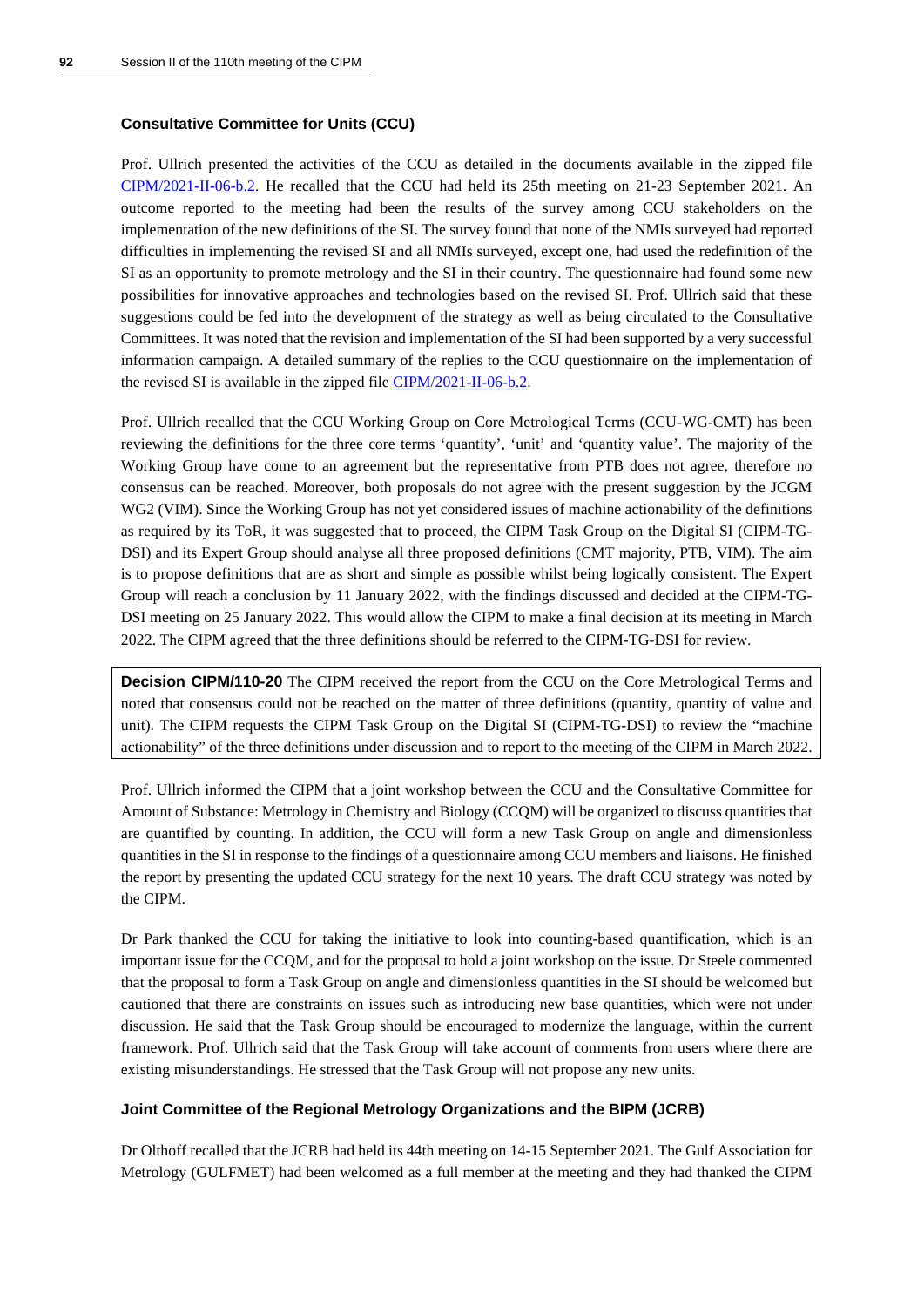### **Consultative Committee for Units (CCU)**

Prof. Ullrich presented the activities of the CCU as detailed in the documents available in the zipped file [CIPM/2021-II-06-b.2.](https://www.bipm.org/documents/20126/62098088/CIPM21-II-06-b.2/4ec9b9c1-a565-976d-6632-e19ed94196a3) He recalled that the CCU had held its 25th meeting on 21-23 September 2021. An outcome reported to the meeting had been the results of the survey among CCU stakeholders on the implementation of the new definitions of the SI. The survey found that none of the NMIs surveyed had reported difficulties in implementing the revised SI and all NMIs surveyed, except one, had used the redefinition of the SI as an opportunity to promote metrology and the SI in their country. The questionnaire had found some new possibilities for innovative approaches and technologies based on the revised SI. Prof. Ullrich said that these suggestions could be fed into the development of the strategy as well as being circulated to the Consultative Committees. It was noted that the revision and implementation of the SI had been supported by a very successful information campaign. A detailed summary of the replies to the CCU questionnaire on the implementation of the revised SI is available in the zipped file [CIPM/2021-II-06-b.2.](https://www.bipm.org/documents/20126/62098088/CIPM21-II-06-b.2/4ec9b9c1-a565-976d-6632-e19ed94196a3)

Prof. Ullrich recalled that the CCU Working Group on Core Metrological Terms (CCU-WG-CMT) has been reviewing the definitions for the three core terms 'quantity', 'unit' and 'quantity value'. The majority of the Working Group have come to an agreement but the representative from PTB does not agree, therefore no consensus can be reached. Moreover, both proposals do not agree with the present suggestion by the JCGM WG2 (VIM). Since the Working Group has not yet considered issues of machine actionability of the definitions as required by its ToR, it was suggested that to proceed, the CIPM Task Group on the Digital SI (CIPM-TG-DSI) and its Expert Group should analyse all three proposed definitions (CMT majority, PTB, VIM). The aim is to propose definitions that are as short and simple as possible whilst being logically consistent. The Expert Group will reach a conclusion by 11 January 2022, with the findings discussed and decided at the CIPM-TG-DSI meeting on 25 January 2022. This would allow the CIPM to make a final decision at its meeting in March 2022. The CIPM agreed that the three definitions should be referred to the CIPM-TG-DSI for review.

**Decision CIPM/110-20** The CIPM received the report from the CCU on the Core Metrological Terms and noted that consensus could not be reached on the matter of three definitions (quantity, quantity of value and unit). The CIPM requests the CIPM Task Group on the Digital SI (CIPM-TG-DSI) to review the "machine actionability" of the three definitions under discussion and to report to the meeting of the CIPM in March 2022.

Prof. Ullrich informed the CIPM that a joint workshop between the CCU and the Consultative Committee for Amount of Substance: Metrology in Chemistry and Biology (CCQM) will be organized to discuss quantities that are quantified by counting. In addition, the CCU will form a new Task Group on angle and dimensionless quantities in the SI in response to the findings of a questionnaire among CCU members and liaisons. He finished the report by presenting the updated CCU strategy for the next 10 years. The draft CCU strategy was noted by the CIPM.

Dr Park thanked the CCU for taking the initiative to look into counting-based quantification, which is an important issue for the CCQM, and for the proposal to hold a joint workshop on the issue. Dr Steele commented that the proposal to form a Task Group on angle and dimensionless quantities in the SI should be welcomed but cautioned that there are constraints on issues such as introducing new base quantities, which were not under discussion. He said that the Task Group should be encouraged to modernize the language, within the current framework. Prof. Ullrich said that the Task Group will take account of comments from users where there are existing misunderstandings. He stressed that the Task Group will not propose any new units.

### **Joint Committee of the Regional Metrology Organizations and the BIPM (JCRB)**

Dr Olthoff recalled that the JCRB had held its 44th meeting on 14-15 September 2021. The Gulf Association for Metrology (GULFMET) had been welcomed as a full member at the meeting and they had thanked the CIPM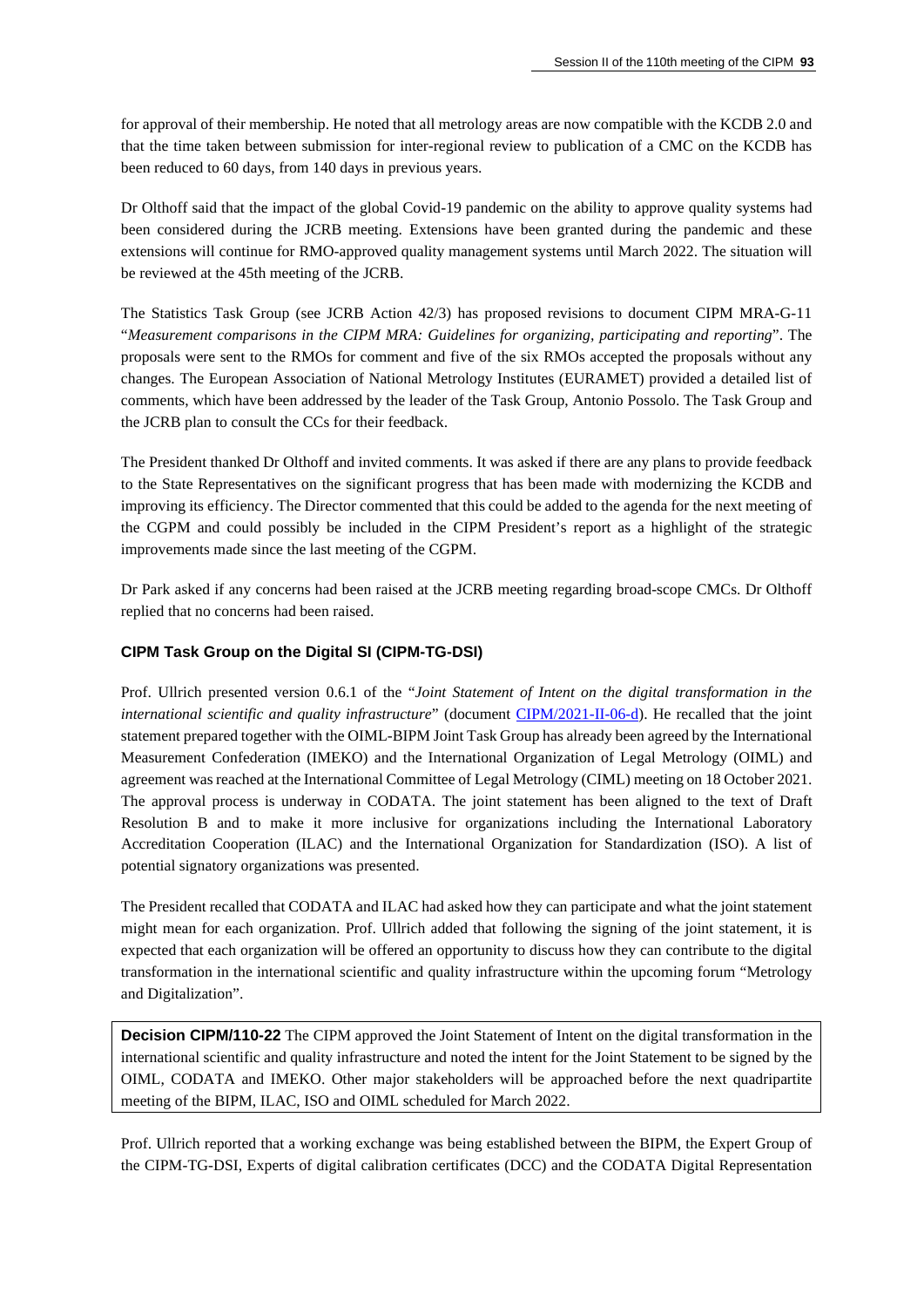for approval of their membership. He noted that all metrology areas are now compatible with the KCDB 2.0 and that the time taken between submission for inter-regional review to publication of a CMC on the KCDB has been reduced to 60 days, from 140 days in previous years.

Dr Olthoff said that the impact of the global Covid-19 pandemic on the ability to approve quality systems had been considered during the JCRB meeting. Extensions have been granted during the pandemic and these extensions will continue for RMO-approved quality management systems until March 2022. The situation will be reviewed at the 45th meeting of the JCRB.

The Statistics Task Group (see JCRB Action 42/3) has proposed revisions to document CIPM MRA-G-11 "*Measurement comparisons in the CIPM MRA: Guidelines for organizing, participating and reporting*". The proposals were sent to the RMOs for comment and five of the six RMOs accepted the proposals without any changes. The European Association of National Metrology Institutes (EURAMET) provided a detailed list of comments, which have been addressed by the leader of the Task Group, Antonio Possolo. The Task Group and the JCRB plan to consult the CCs for their feedback.

The President thanked Dr Olthoff and invited comments. It was asked if there are any plans to provide feedback to the State Representatives on the significant progress that has been made with modernizing the KCDB and improving its efficiency. The Director commented that this could be added to the agenda for the next meeting of the CGPM and could possibly be included in the CIPM President's report as a highlight of the strategic improvements made since the last meeting of the CGPM.

Dr Park asked if any concerns had been raised at the JCRB meeting regarding broad-scope CMCs. Dr Olthoff replied that no concerns had been raised.

### **CIPM Task Group on the Digital SI (CIPM-TG-DSI)**

Prof. Ullrich presented version 0.6.1 of the "*Joint Statement of Intent on the digital transformation in the international scientific and quality infrastructure*" (document [CIPM/2021-II-06-d\)](https://www.bipm.org/documents/20126/61919441/CIPM21-II-06-d-Draft_Joint+Statement_v0.6.1-changes_accepted_JU.docx/58e3b74d-1e39-4205-5a59-9b7a4c67cd79). He recalled that the joint statement prepared together with the OIML-BIPM Joint Task Group has already been agreed by the International Measurement Confederation (IMEKO) and the International Organization of Legal Metrology (OIML) and agreement was reached at the International Committee of Legal Metrology (CIML) meeting on 18 October 2021. The approval process is underway in CODATA. The joint statement has been aligned to the text of Draft Resolution B and to make it more inclusive for organizations including the International Laboratory Accreditation Cooperation (ILAC) and the International Organization for Standardization (ISO). A list of potential signatory organizations was presented.

The President recalled that CODATA and ILAC had asked how they can participate and what the joint statement might mean for each organization. Prof. Ullrich added that following the signing of the joint statement, it is expected that each organization will be offered an opportunity to discuss how they can contribute to the digital transformation in the international scientific and quality infrastructure within the upcoming forum "Metrology and Digitalization".

**Decision CIPM/110-22** The CIPM approved the Joint Statement of Intent on the digital transformation in the international scientific and quality infrastructure and noted the intent for the Joint Statement to be signed by the OIML, CODATA and IMEKO. Other major stakeholders will be approached before the next quadripartite meeting of the BIPM, ILAC, ISO and OIML scheduled for March 2022.

Prof. Ullrich reported that a working exchange was being established between the BIPM, the Expert Group of the CIPM-TG-DSI, Experts of digital calibration certificates (DCC) and the CODATA Digital Representation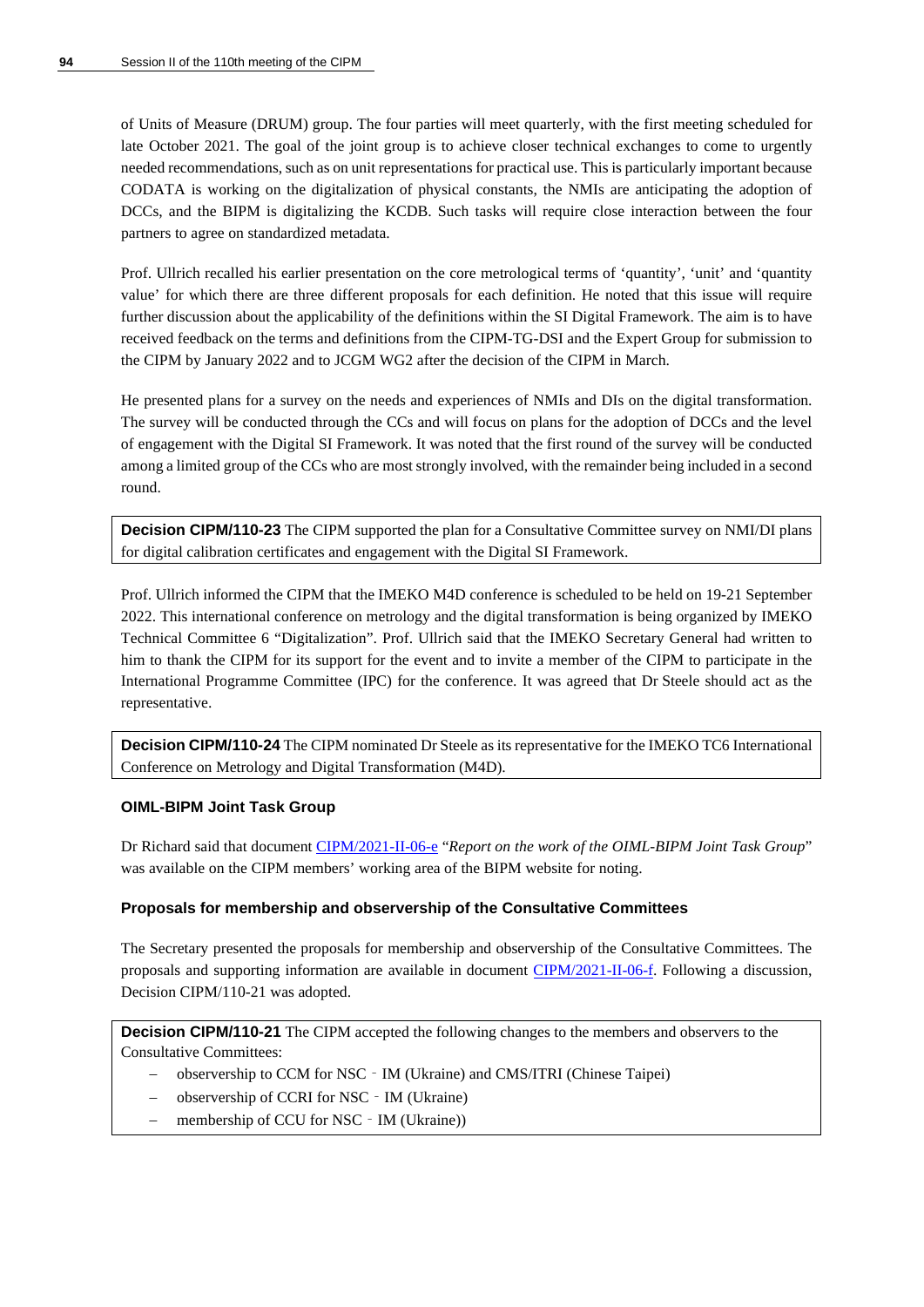of Units of Measure (DRUM) group. The four parties will meet quarterly, with the first meeting scheduled for late October 2021. The goal of the joint group is to achieve closer technical exchanges to come to urgently needed recommendations, such as on unit representations for practical use. This is particularly important because CODATA is working on the digitalization of physical constants, the NMIs are anticipating the adoption of DCCs, and the BIPM is digitalizing the KCDB. Such tasks will require close interaction between the four partners to agree on standardized metadata.

Prof. Ullrich recalled his earlier presentation on the core metrological terms of 'quantity', 'unit' and 'quantity value' for which there are three different proposals for each definition. He noted that this issue will require further discussion about the applicability of the definitions within the SI Digital Framework. The aim is to have received feedback on the terms and definitions from the CIPM-TG-DSI and the Expert Group for submission to the CIPM by January 2022 and to JCGM WG2 after the decision of the CIPM in March.

He presented plans for a survey on the needs and experiences of NMIs and DIs on the digital transformation. The survey will be conducted through the CCs and will focus on plans for the adoption of DCCs and the level of engagement with the Digital SI Framework. It was noted that the first round of the survey will be conducted among a limited group of the CCs who are most strongly involved, with the remainder being included in a second round.

**Decision CIPM/110-23** The CIPM supported the plan for a Consultative Committee survey on NMI/DI plans for digital calibration certificates and engagement with the Digital SI Framework.

Prof. Ullrich informed the CIPM that the IMEKO M4D conference is scheduled to be held on 19-21 September 2022. This international conference on metrology and the digital transformation is being organized by IMEKO Technical Committee 6 "Digitalization". Prof. Ullrich said that the IMEKO Secretary General had written to him to thank the CIPM for its support for the event and to invite a member of the CIPM to participate in the International Programme Committee (IPC) for the conference. It was agreed that Dr Steele should act as the representative.

**Decision CIPM/110-24** The CIPM nominated Dr Steele as its representative for the IMEKO TC6 International Conference on Metrology and Digital Transformation (M4D).

### **OIML-BIPM Joint Task Group**

Dr Richard said that document [CIPM/2021-II-06-e](https://www.bipm.org/documents/20126/61771740/CIPM21-II-06-e-20210930_report_JTG_OIML_BIPM_PROV_DEF.pdf/82f6dacf-7975-c6a1-0a18-30a756927ba9) "*Report on the work of the OIML-BIPM Joint Task Group*" was available on the CIPM members' working area of the BIPM website for noting.

### **Proposals for membership and observership of the Consultative Committees**

The Secretary presented the proposals for membership and observership of the Consultative Committees. The proposals and supporting information are available in document [CIPM/2021-II-06-f.](https://www.bipm.org/documents/20126/62149170/CIPM21-II-06-f-Agenda+6-f+CC+membership+application/671bff5e-2eb1-53a2-601e-d602585d7d63) Following a discussion, Decision CIPM/110-21 was adopted.

**Decision CIPM/110-21** The CIPM accepted the following changes to the members and observers to the Consultative Committees:

- − observership to CCM for NSC‐IM (Ukraine) and CMS/ITRI (Chinese Taipei)
- − observership of CCRI for NSC‐IM (Ukraine)
- membership of CCU for NSC − IM (Ukraine))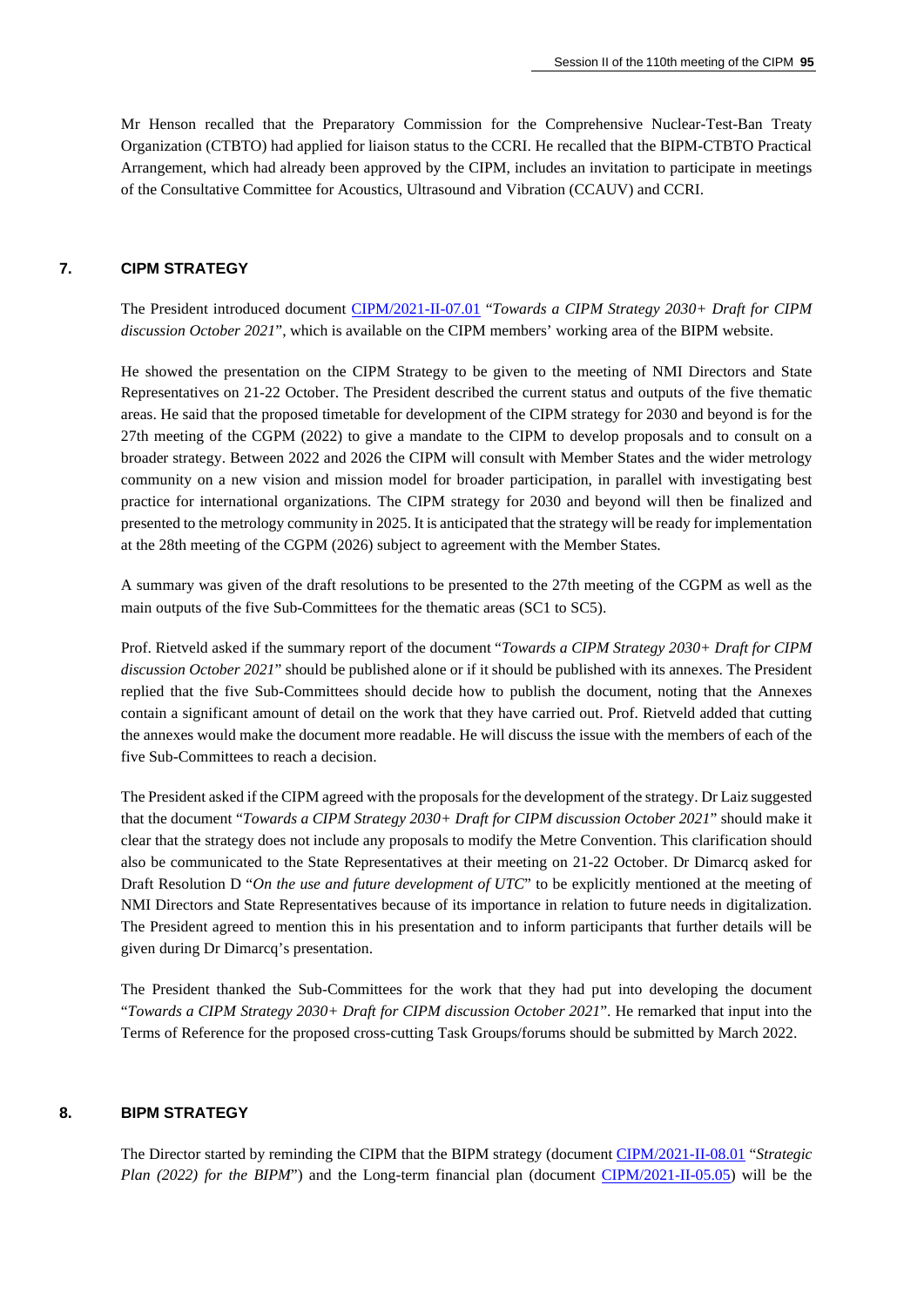Mr Henson recalled that the Preparatory Commission for the Comprehensive Nuclear-Test-Ban Treaty Organization (CTBTO) had applied for liaison status to the CCRI. He recalled that the BIPM-CTBTO Practical Arrangement, which had already been approved by the CIPM, includes an invitation to participate in meetings of the Consultative Committee for Acoustics, Ultrasound and Vibration (CCAUV) and CCRI.

# **7. CIPM STRATEGY**

The President introduced document [CIPM/2021-II-07.01](https://www.bipm.org/documents/20126/61771265/CIPM21-II-07.01-CIPM+Report+towards+the+Strategy+2030%2B+October+2021.docx/38a72731-d0b3-a088-a16c-fcd359503627) "*Towards a CIPM Strategy 2030+ Draft for CIPM discussion October 2021*", which is available on the CIPM members' working area of the BIPM website.

He showed the presentation on the CIPM Strategy to be given to the meeting of NMI Directors and State Representatives on 21-22 October. The President described the current status and outputs of the five thematic areas. He said that the proposed timetable for development of the CIPM strategy for 2030 and beyond is for the 27th meeting of the CGPM (2022) to give a mandate to the CIPM to develop proposals and to consult on a broader strategy. Between 2022 and 2026 the CIPM will consult with Member States and the wider metrology community on a new vision and mission model for broader participation, in parallel with investigating best practice for international organizations. The CIPM strategy for 2030 and beyond will then be finalized and presented to the metrology community in 2025. It is anticipated that the strategy will be ready for implementation at the 28th meeting of the CGPM (2026) subject to agreement with the Member States.

A summary was given of the draft resolutions to be presented to the 27th meeting of the CGPM as well as the main outputs of the five Sub-Committees for the thematic areas (SC1 to SC5).

Prof. Rietveld asked if the summary report of the document "*Towards a CIPM Strategy 2030+ Draft for CIPM discussion October 2021*" should be published alone or if it should be published with its annexes. The President replied that the five Sub-Committees should decide how to publish the document, noting that the Annexes contain a significant amount of detail on the work that they have carried out. Prof. Rietveld added that cutting the annexes would make the document more readable. He will discuss the issue with the members of each of the five Sub-Committees to reach a decision.

The President asked if the CIPM agreed with the proposals for the development of the strategy. Dr Laiz suggested that the document "*Towards a CIPM Strategy 2030+ Draft for CIPM discussion October 2021*" should make it clear that the strategy does not include any proposals to modify the Metre Convention. This clarification should also be communicated to the State Representatives at their meeting on 21-22 October. Dr Dimarcq asked for Draft Resolution D "On the use and future development of UTC" to be explicitly mentioned at the meeting of NMI Directors and State Representatives because of its importance in relation to future needs in digitalization. The President agreed to mention this in his presentation and to inform participants that further details will be given during Dr Dimarcq's presentation.

The President thanked the Sub-Committees for the work that they had put into developing the document "*Towards a CIPM Strategy 2030+ Draft for CIPM discussion October 2021*". He remarked that input into the Terms of Reference for the proposed cross-cutting Task Groups/forums should be submitted by March 2022.

#### **8. BIPM STRATEGY**

The Director started by reminding the CIPM that the BIPM strategy (document [CIPM/2021-II-08.01](https://www.bipm.org/documents/20126/61869151/CIPM21-II-08.01-Strategic+Plan+-+Final+draft_2021_10_05/37dc1a1c-3a45-f043-8514-b7fd4a4c8e5c) "*Strategic Plan (2022) for the BIPM*") and the Long-term financial plan (document [CIPM/2021-II-05.05\)](https://www.bipm.org/documents/20126/62107553/CIPM21-II-05.05-LTFP_v2.pdf/a9ff0840-4ac2-e189-d50f-40b0b0dc1c2e) will be the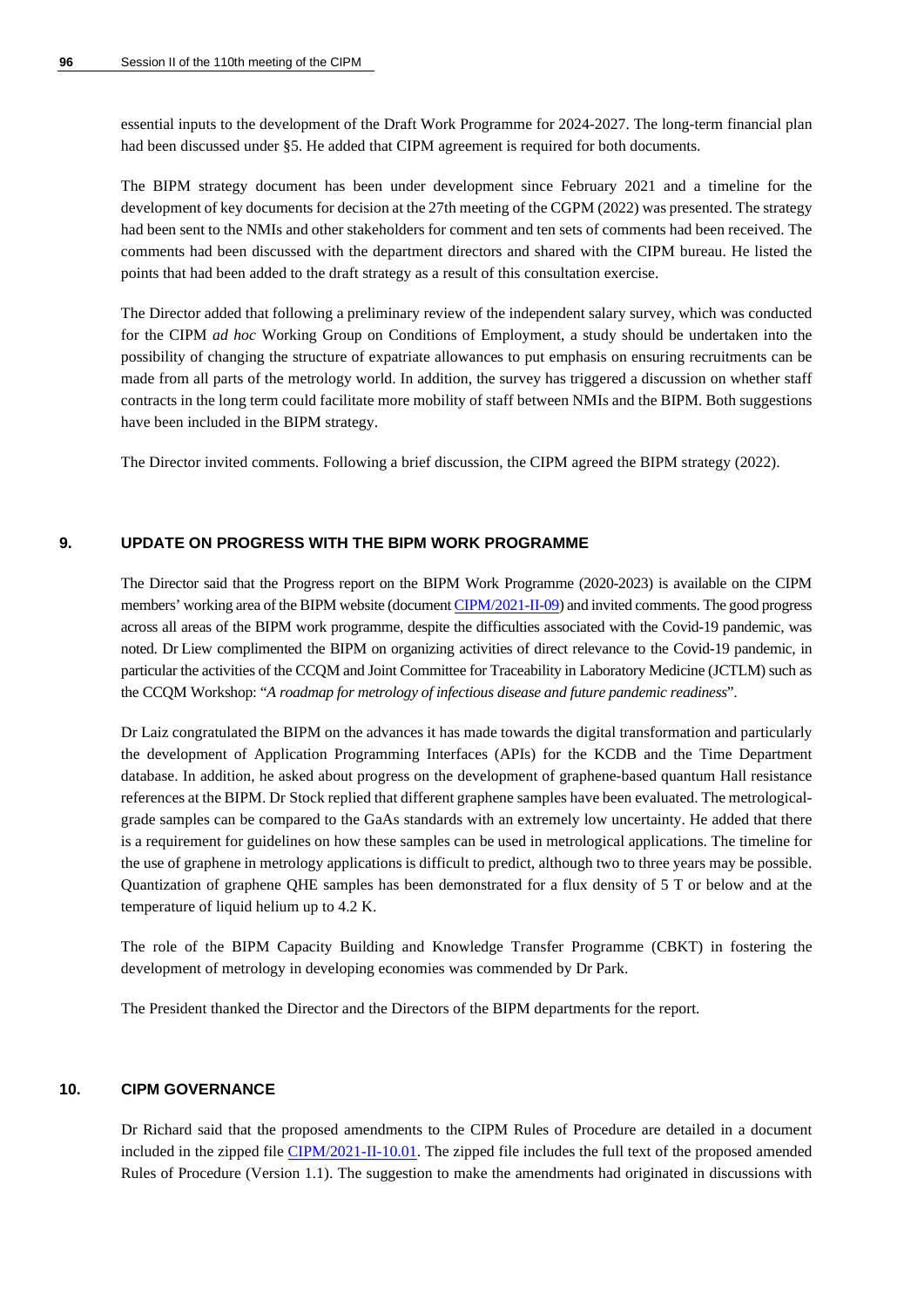essential inputs to the development of the Draft Work Programme for 2024-2027. The long-term financial plan had been discussed under §5. He added that CIPM agreement is required for both documents.

The BIPM strategy document has been under development since February 2021 and a timeline for the development of key documents for decision at the 27th meeting of the CGPM (2022) was presented. The strategy had been sent to the NMIs and other stakeholders for comment and ten sets of comments had been received. The comments had been discussed with the department directors and shared with the CIPM bureau. He listed the points that had been added to the draft strategy as a result of this consultation exercise.

The Director added that following a preliminary review of the independent salary survey, which was conducted for the CIPM *ad hoc* Working Group on Conditions of Employment, a study should be undertaken into the possibility of changing the structure of expatriate allowances to put emphasis on ensuring recruitments can be made from all parts of the metrology world. In addition, the survey has triggered a discussion on whether staff contracts in the long term could facilitate more mobility of staff between NMIs and the BIPM. Both suggestions have been included in the BIPM strategy.

The Director invited comments. Following a brief discussion, the CIPM agreed the BIPM strategy (2022).

### **9. UPDATE ON PROGRESS WITH THE BIPM WORK PROGRAMME**

The Director said that the Progress report on the BIPM Work Programme (2020-2023) is available on the CIPM members' working area of the BIPM website (documen[t CIPM/2021-II-09\)](https://www.bipm.org/documents/20126/61958838/CIPM21-II-09-WP-report-Sept-2021.pdf/71859448-0a76-6340-5884-9453c0134038) and invited comments. The good progress across all areas of the BIPM work programme, despite the difficulties associated with the Covid-19 pandemic, was noted. Dr Liew complimented the BIPM on organizing activities of direct relevance to the Covid-19 pandemic, in particular the activities of the CCQM and Joint Committee for Traceability in Laboratory Medicine (JCTLM) such as the CCQM Workshop: "*A roadmap for metrology of infectious disease and future pandemic readiness*".

Dr Laiz congratulated the BIPM on the advances it has made towards the digital transformation and particularly the development of Application Programming Interfaces (APIs) for the KCDB and the Time Department database. In addition, he asked about progress on the development of graphene-based quantum Hall resistance references at the BIPM. Dr Stock replied that different graphene samples have been evaluated. The metrologicalgrade samples can be compared to the GaAs standards with an extremely low uncertainty. He added that there is a requirement for guidelines on how these samples can be used in metrological applications. The timeline for the use of graphene in metrology applications is difficult to predict, although two to three years may be possible. Quantization of graphene QHE samples has been demonstrated for a flux density of 5 T or below and at the temperature of liquid helium up to 4.2 K.

The role of the BIPM Capacity Building and Knowledge Transfer Programme (CBKT) in fostering the development of metrology in developing economies was commended by Dr Park.

The President thanked the Director and the Directors of the BIPM departments for the report.

### **10. CIPM GOVERNANCE**

Dr Richard said that the proposed amendments to the CIPM Rules of Procedure are detailed in a document included in the zipped file [CIPM/2021-II-10.01.](https://www.bipm.org/documents/20126/61577245/Proposed+amendment+of+the+CIPM+Rules+of+Procedure%2C+two+documents+for+CIPM+decision/24b2b51a-ab2f-7ded-c26c-7c257b0c2fbe) The zipped file includes the full text of the proposed amended Rules of Procedure (Version 1.1). The suggestion to make the amendments had originated in discussions with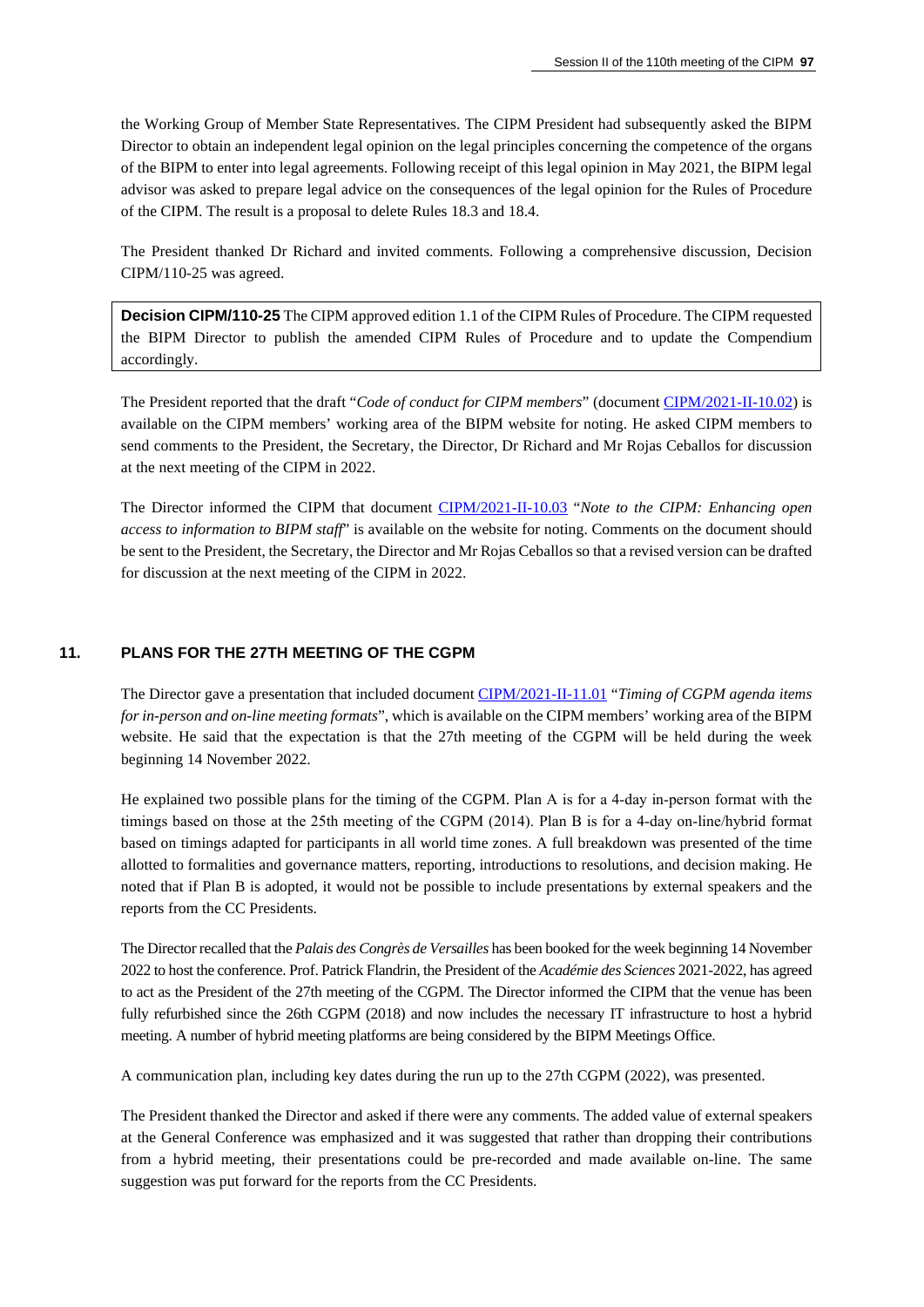the Working Group of Member State Representatives. The CIPM President had subsequently asked the BIPM Director to obtain an independent legal opinion on the legal principles concerning the competence of the organs of the BIPM to enter into legal agreements. Following receipt of this legal opinion in May 2021, the BIPM legal advisor was asked to prepare legal advice on the consequences of the legal opinion for the Rules of Procedure of the CIPM. The result is a proposal to delete Rules 18.3 and 18.4.

The President thanked Dr Richard and invited comments. Following a comprehensive discussion, Decision CIPM/110-25 was agreed.

**Decision CIPM/110-25** The CIPM approved edition 1.1 of the CIPM Rules of Procedure. The CIPM requested the BIPM Director to publish the amended CIPM Rules of Procedure and to update the Compendium accordingly.

The President reported that the draft "*Code of conduct for CIPM members*" (documen[t CIPM/2021-II-10.02\)](https://www.bipm.org/documents/20126/62234712/CIPM21-II-10.02-Code+of+Conduct+-+CIPM+members.docx/49749902-b2f6-4720-e2fa-502082e86ba8) is available on the CIPM members' working area of the BIPM website for noting. He asked CIPM members to send comments to the President, the Secretary, the Director, Dr Richard and Mr Rojas Ceballos for discussion at the next meeting of the CIPM in 2022.

The Director informed the CIPM that document [CIPM/2021-II-10.03](https://www.bipm.org/documents/20126/62234696/CIPM21-II-10.03-Note+to+the+CIPM+-+open+access+to+information.docx/36b6243d-f2a6-d688-b7df-812da3680ad0) "*Note to the CIPM: Enhancing open access to information to BIPM staff*" is available on the website for noting. Comments on the document should be sent to the President, the Secretary, the Director and Mr Rojas Ceballos so that a revised version can be drafted for discussion at the next meeting of the CIPM in 2022.

### **11. PLANS FOR THE 27TH MEETING OF THE CGPM**

The Director gave a presentation that included document [CIPM/2021-II-11.01](https://www.bipm.org/documents/20126/61869167/CIPM21-II-11.01-Minimum+timings+for+a+CGPM+v5.pdf/1a993a5d-6475-f51a-3d3f-37d9a3cf7594) "*Timing of CGPM agenda items for in-person and on-line meeting formats*", which is available on the CIPM members' working area of the BIPM website. He said that the expectation is that the 27th meeting of the CGPM will be held during the week beginning 14 November 2022.

He explained two possible plans for the timing of the CGPM. Plan A is for a 4‐day in‐person format with the timings based on those at the 25th meeting of the CGPM (2014). Plan B is for a 4‐day on‐line/hybrid format based on timings adapted for participants in all world time zones. A full breakdown was presented of the time allotted to formalities and governance matters, reporting, introductions to resolutions, and decision making. He noted that if Plan B is adopted, it would not be possible to include presentations by external speakers and the reports from the CC Presidents.

The Director recalled that the *Palais des Congrès de Versailles* has been booked for the week beginning 14 November 2022 to host the conference. Prof. Patrick Flandrin, the President of the *Académie des Sciences* 2021-2022, has agreed to act as the President of the 27th meeting of the CGPM. The Director informed the CIPM that the venue has been fully refurbished since the 26th CGPM (2018) and now includes the necessary IT infrastructure to host a hybrid meeting. A number of hybrid meeting platforms are being considered by the BIPM Meetings Office.

A communication plan, including key dates during the run up to the 27th CGPM (2022), was presented.

The President thanked the Director and asked if there were any comments. The added value of external speakers at the General Conference was emphasized and it was suggested that rather than dropping their contributions from a hybrid meeting, their presentations could be pre-recorded and made available on-line. The same suggestion was put forward for the reports from the CC Presidents.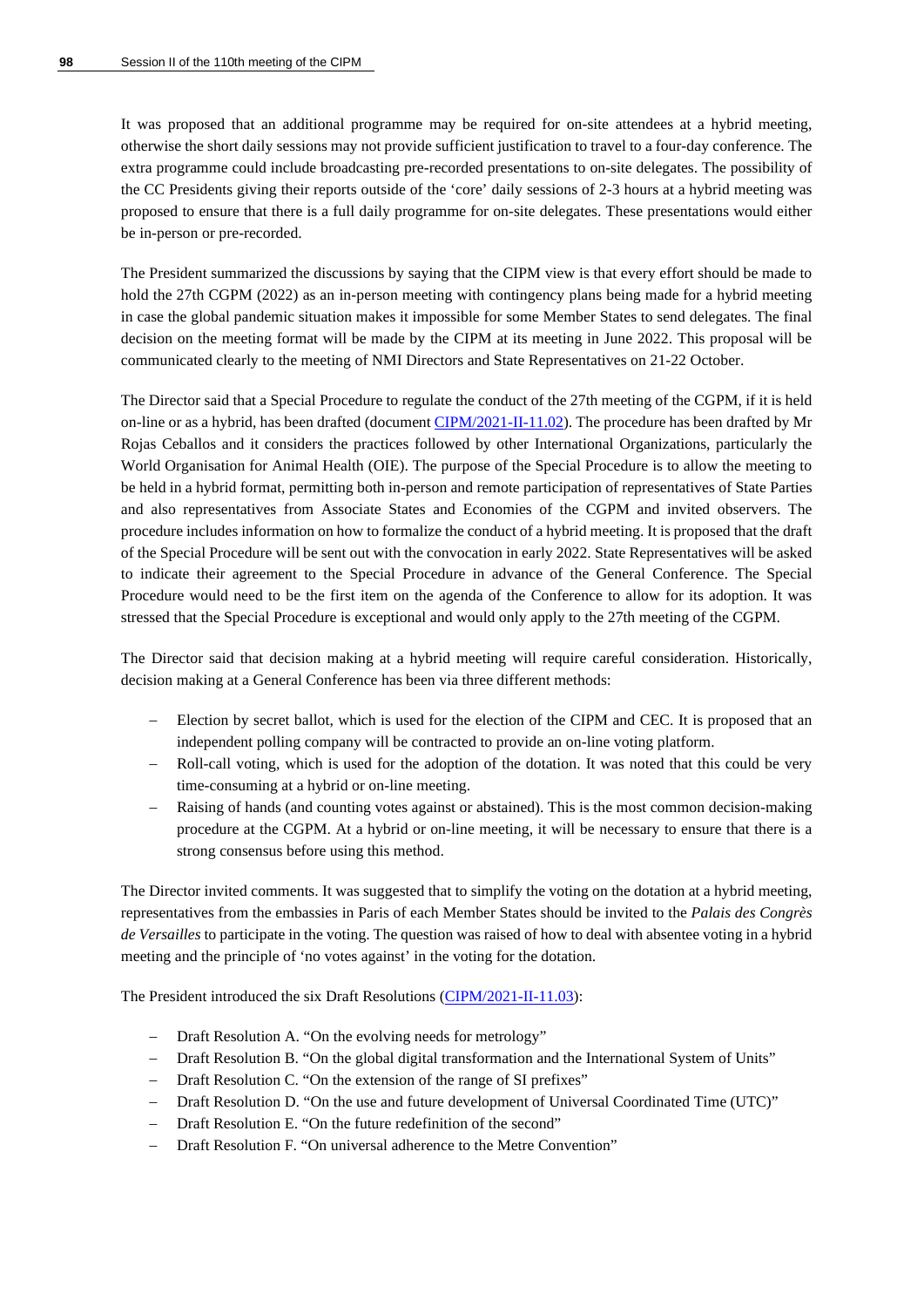It was proposed that an additional programme may be required for on-site attendees at a hybrid meeting, otherwise the short daily sessions may not provide sufficient justification to travel to a four-day conference. The extra programme could include broadcasting pre-recorded presentations to on-site delegates. The possibility of the CC Presidents giving their reports outside of the 'core' daily sessions of 2-3 hours at a hybrid meeting was proposed to ensure that there is a full daily programme for on-site delegates. These presentations would either be in-person or pre-recorded.

The President summarized the discussions by saying that the CIPM view is that every effort should be made to hold the 27th CGPM (2022) as an in-person meeting with contingency plans being made for a hybrid meeting in case the global pandemic situation makes it impossible for some Member States to send delegates. The final decision on the meeting format will be made by the CIPM at its meeting in June 2022. This proposal will be communicated clearly to the meeting of NMI Directors and State Representatives on 21-22 October.

The Director said that a Special Procedure to regulate the conduct of the 27th meeting of the CGPM, if it is held on-line or as a hybrid, has been drafted (document [CIPM/2021-II-11.02\)](https://www.bipm.org/documents/20126/62233724/CIPM21-II-11.02-Draft+Special+procedure_27th+CGPM+meeting-v1.docx/e1885e34-b4da-007e-b810-a3090ce0bcbb). The procedure has been drafted by Mr Rojas Ceballos and it considers the practices followed by other International Organizations, particularly the World Organisation for Animal Health (OIE). The purpose of the Special Procedure is to allow the meeting to be held in a hybrid format, permitting both in-person and remote participation of representatives of State Parties and also representatives from Associate States and Economies of the CGPM and invited observers. The procedure includes information on how to formalize the conduct of a hybrid meeting. It is proposed that the draft of the Special Procedure will be sent out with the convocation in early 2022. State Representatives will be asked to indicate their agreement to the Special Procedure in advance of the General Conference. The Special Procedure would need to be the first item on the agenda of the Conference to allow for its adoption. It was stressed that the Special Procedure is exceptional and would only apply to the 27th meeting of the CGPM.

The Director said that decision making at a hybrid meeting will require careful consideration. Historically, decision making at a General Conference has been via three different methods:

- − Election by secret ballot, which is used for the election of the CIPM and CEC. It is proposed that an independent polling company will be contracted to provide an on-line voting platform.
- Roll-call voting, which is used for the adoption of the dotation. It was noted that this could be very time-consuming at a hybrid or on-line meeting.
- Raising of hands (and counting votes against or abstained). This is the most common decision-making procedure at the CGPM. At a hybrid or on-line meeting, it will be necessary to ensure that there is a strong consensus before using this method.

The Director invited comments. It was suggested that to simplify the voting on the dotation at a hybrid meeting, representatives from the embassies in Paris of each Member States should be invited to the *Palais des Congrès de Versailles* to participate in the voting. The question was raised of how to deal with absentee voting in a hybrid meeting and the principle of 'no votes against' in the voting for the dotation.

The President introduced the six Draft Resolutions [\(CIPM/2021-II-11.03\)](https://www.bipm.org/documents/20126/61577257/CIPM21-II-11.03-/fab7a964-2343-5084-eb69-30e9cb9caa1d):

- Draft Resolution A. "On the evolving needs for metrology"
- − Draft Resolution B. "On the global digital transformation and the International System of Units"
- − Draft Resolution C. "On the extension of the range of SI prefixes"
- − Draft Resolution D. "On the use and future development of Universal Coordinated Time (UTC)"
- − Draft Resolution E. "On the future redefinition of the second"
- Draft Resolution F. "On universal adherence to the Metre Convention"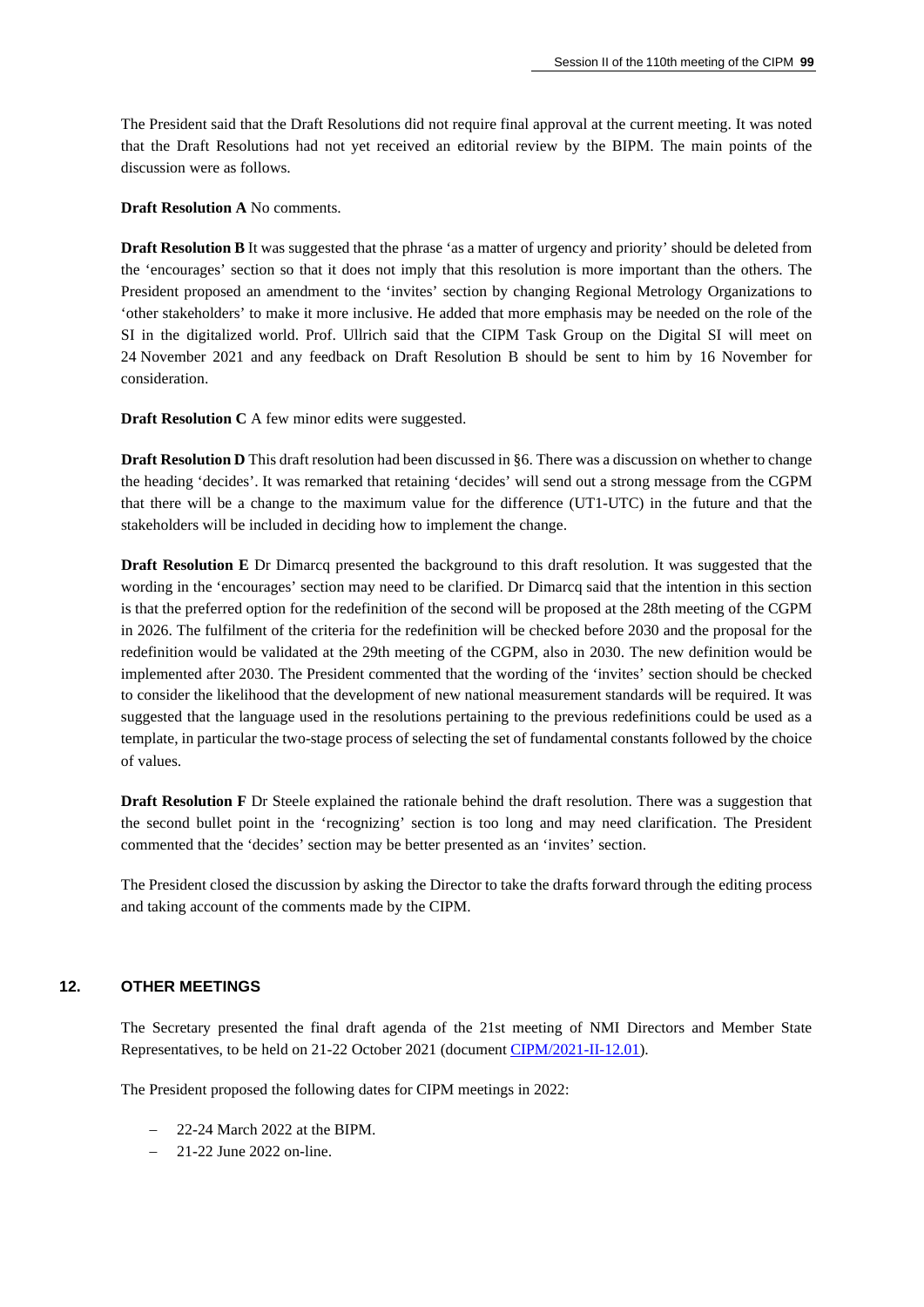The President said that the Draft Resolutions did not require final approval at the current meeting. It was noted that the Draft Resolutions had not yet received an editorial review by the BIPM. The main points of the discussion were as follows.

**Draft Resolution A** No comments.

**Draft Resolution B** It was suggested that the phrase 'as a matter of urgency and priority' should be deleted from the 'encourages' section so that it does not imply that this resolution is more important than the others. The President proposed an amendment to the 'invites' section by changing Regional Metrology Organizations to 'other stakeholders' to make it more inclusive. He added that more emphasis may be needed on the role of the SI in the digitalized world. Prof. Ullrich said that the CIPM Task Group on the Digital SI will meet on 24 November 2021 and any feedback on Draft Resolution B should be sent to him by 16 November for consideration.

**Draft Resolution C** A few minor edits were suggested.

**Draft Resolution D** This draft resolution had been discussed in §6. There was a discussion on whether to change the heading 'decides'. It was remarked that retaining 'decides' will send out a strong message from the CGPM that there will be a change to the maximum value for the difference (UT1-UTC) in the future and that the stakeholders will be included in deciding how to implement the change.

**Draft Resolution E** Dr Dimarcq presented the background to this draft resolution. It was suggested that the wording in the 'encourages' section may need to be clarified. Dr Dimarcq said that the intention in this section is that the preferred option for the redefinition of the second will be proposed at the 28th meeting of the CGPM in 2026. The fulfilment of the criteria for the redefinition will be checked before 2030 and the proposal for the redefinition would be validated at the 29th meeting of the CGPM, also in 2030. The new definition would be implemented after 2030. The President commented that the wording of the 'invites' section should be checked to consider the likelihood that the development of new national measurement standards will be required. It was suggested that the language used in the resolutions pertaining to the previous redefinitions could be used as a template, in particular the two-stage process of selecting the set of fundamental constants followed by the choice of values.

**Draft Resolution F** Dr Steele explained the rationale behind the draft resolution. There was a suggestion that the second bullet point in the 'recognizing' section is too long and may need clarification. The President commented that the 'decides' section may be better presented as an 'invites' section.

The President closed the discussion by asking the Director to take the drafts forward through the editing process and taking account of the comments made by the CIPM.

#### **12. OTHER MEETINGS**

The Secretary presented the final draft agenda of the 21st meeting of NMI Directors and Member State Representatives, to be held on 21-22 October 2021 (document [CIPM/2021-II-12.01\)](https://www.bipm.org/documents/20126/61869183/CIPM21-II-12.01-Programme_21st+Meeting+of+the+Directors+of+NMIs_v2-FINAL.pdf/4571fc9a-812e-4aa0-085c-bd0fe9625487).

The President proposed the following dates for CIPM meetings in 2022:

- − 22-24 March 2022 at the BIPM.
- − 21-22 June 2022 on-line.